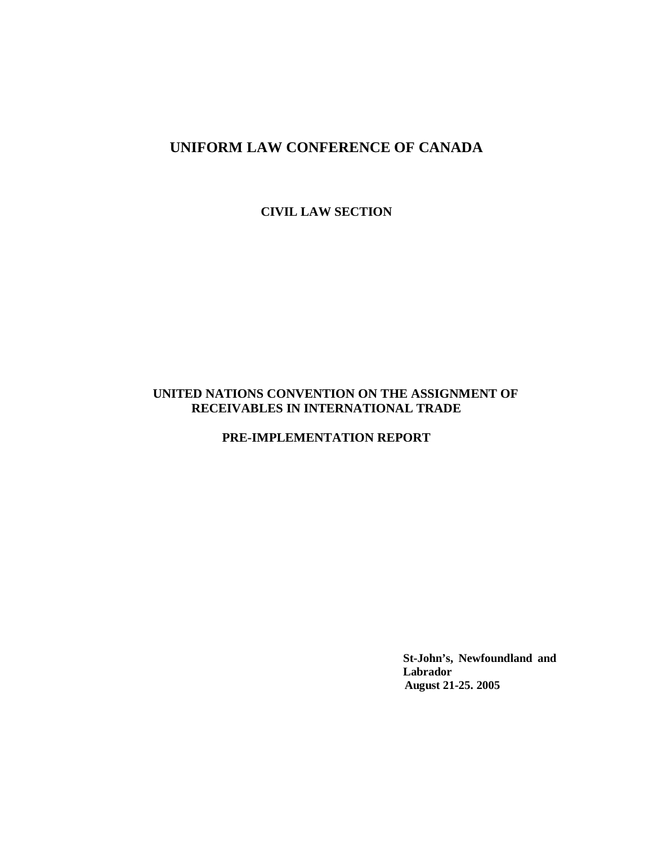# **UNIFORM LAW CONFERENCE OF CANADA**

**CIVIL LAW SECTION**

## **UNITED NATIONS CONVENTION ON THE ASSIGNMENT OF RECEIVABLES IN INTERNATIONAL TRADE**

**PRE-IMPLEMENTATION REPORT**

**St-John's, Newfoundland and Labrador August 21-25. 2005**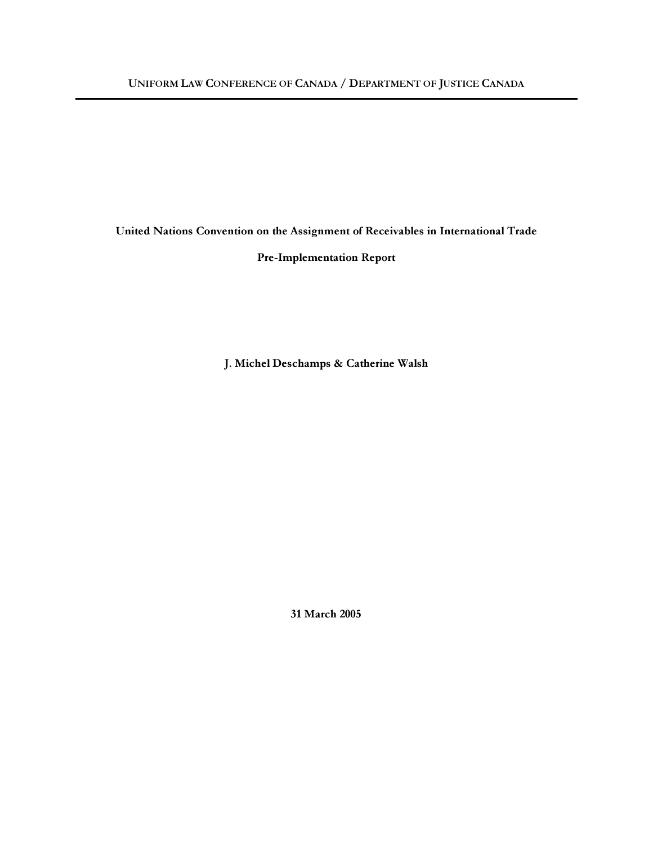United Nations Convention on the Assignment of Receivables in International Trade

Pre-Implementation Report

J. Michel Deschamps & Catherine Walsh

31 March 2005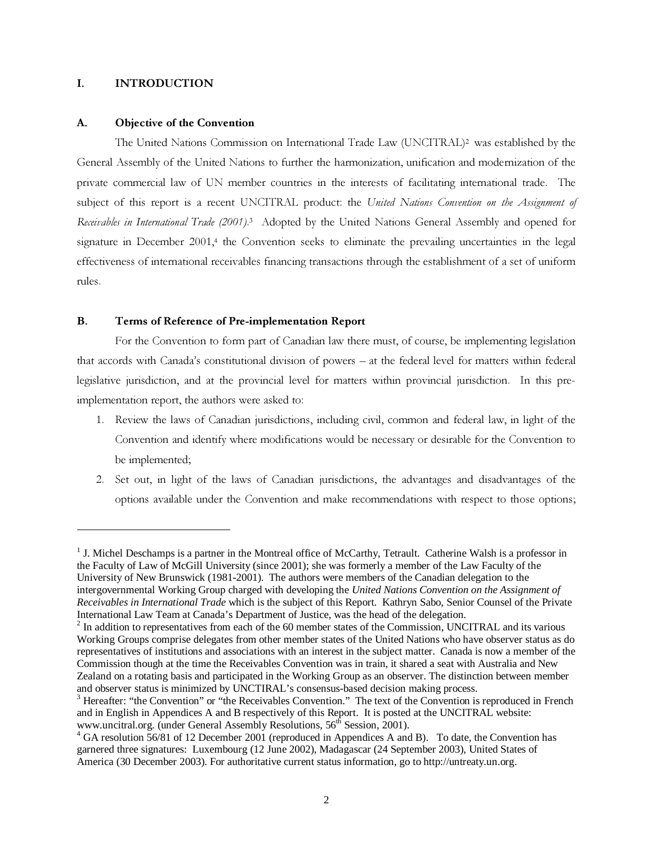### I. INTRODUCTION

#### A. Objective of the Convention

The United Nations Commission on International Trade Law (UNCITRAL) <sup>2</sup> was established by the General Assembly of the United Nations to further the harmonization, unification and modernization of the private commercial law of UN member countries in the interests of facilitating international trade. The subject of this report is a recent UNCITRAL product: the United Nations Convention on the Assignment of Receivables in International Trade (2001).<sup>3</sup> Adopted by the United Nations General Assembly and opened for signature in December 2001,<sup>4</sup> the Convention seeks to eliminate the prevailing uncertainties in the legal effectiveness of international receivables financing transactions through the establishment of a set of uniform rules.

### B. Terms of Reference of Pre-implementation Report

For the Convention to form part of Canadian law there must, of course, be implementing legislation that accords with Canada's constitutional division of powers – at the federal level for matters within federal legislative jurisdiction, and at the provincial level for matters within provincial jurisdiction. In this preimplementation report, the authors were asked to:

- 1 . Review the laws of Canadian jurisdictions, including civil, common and federal law, in light of the Convention and identify where modifications would be necessary or desirable for the Convention to be implemented;
- 2. Set out, in light of the laws of Canadian jurisdictions, the advantages and disadvantages of the options available under the Convention and make recommendations with respect to those options;

<sup>&</sup>lt;sup>1</sup> J. Michel Deschamps is a partner in the Montreal office of McCarthy, Tetrault. Catherine Walsh is a professor in the Faculty of Law of McGill University (since 2001); she was formerly a member of the Law Faculty of the University of New Brunswick (1981-2001). The authors were members of the Canadian delegation to the intergovernmental Working Group charged with developing the *United Nations Convention on the Assignment of Receivables in International Trade* which is the subject of this Report. Kathryn Sabo, Senior Counsel of the Private International Law Team at Canada's Department of Justice, was the head of the delegation.

 $2$  In addition to representatives from each of the 60 member states of the Commission, UNCITRAL and its various Working Groups comprise delegates from other member states of the United Nations who have observer status as do representatives of institutions and associations with an interest in the subject matter. Canada is now a member of the Commission though at the time the Receivables Convention was in train, it shared a seat with Australia and New Zealand on a rotating basis and participated in the Working Group as an observer. The distinction between member and observer status is minimized by UNCTIRAL's consensus-based decision making process.

 $3$  Hereafter: "the Convention" or "the Receivables Convention." The text of the Convention is reproduced in French and in English in Appendices A and B respectively of this Report. It is posted at the UNCITRAL website: www.uncitral.org. (under General Assembly Resolutions, 56<sup>th</sup> Session, 2001).

<sup>&</sup>lt;sup>4</sup> GA resolution 56/81 of 12 December 2001 (reproduced in Appendices A and B). To date, the Convention has garnered three signatures: Luxembourg (12 June 2002), Madagascar (24 September 2003), United States of America (30 December 2003). For authoritative current status information, go to http://untreaty.un.org.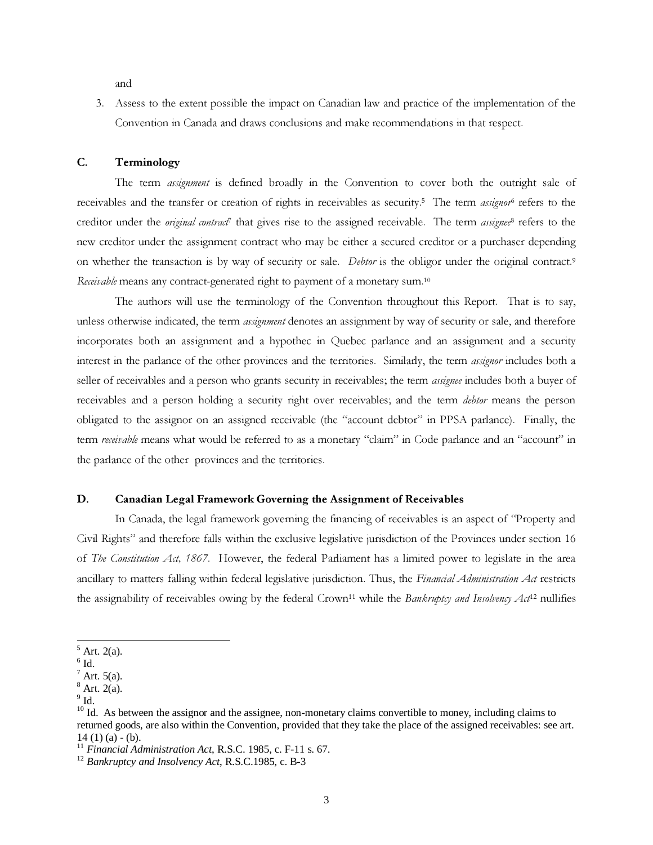and

3. Assess to the extent possible the impact on Canadian law and practice of the implementation of the Convention in Canada and draws conclusions and make recommendations in that respect.

### C. Terminology

The term *assignment* is defined broadly in the Convention to cover both the outright sale of receivables and the transfer or creation of rights in receivables as security.<sup>5</sup> The term *assignor*<sup>6</sup> refers to the creditor under the original contract<sup>†</sup> that gives rise to the assigned receivable. The term assignee<sup>8</sup> refers to the new creditor under the assignment contract who may be either a secured creditor or a purchaser depending on whether the transaction is by way of security or sale. Debtor is the obligor under the original contract.<sup>9</sup> Receivable means any contract-generated right to payment of a monetary sum.<sup>10</sup>

The authors will use the terminology of the Convention throughout this Report. That is to say, unless otherwise indicated, the term *assignment* denotes an assignment by way of security or sale, and therefore incorporates both an assignment and a hypothec in Quebec parlance and an assignment and a security interest in the parlance of the other provinces and the territories. Similarly, the term assignor includes both a seller of receivables and a person who grants security in receivables; the term assignee includes both a buyer of receivables and a person holding a security right over receivables; and the term debtor means the person obligated to the assignor on an assigned receivable (the "account debtor" in PPSA parlance). Finally, the term receivable means what would be referred to as a monetary "claim" in Code parlance and an "account" in the parlance of the other provinces and the territories.

### D. Canadian Legal Framework Governing the Assignment of Receivables

In Canada, the legal framework governing the financing of receivables is an aspect of "Property and Civil Rights" and therefore falls within the exclusive legislative jurisdiction of the Provinces under section 16 of The Constitution Act, 1867. However, the federal Parliament has a limited power to legislate in the area ancillary to matters falling within federal legislative jurisdiction. Thus, the Financial Administration Act restricts the assignability of receivables owing by the federal Crown<sup>11</sup> while the Bankruptcy and Insolvency Act<sup>12</sup> nullifies

 $<sup>5</sup>$  Art. 2(a).</sup>

 $^6$  Id.

 $<sup>7</sup>$  Art. 5(a).</sup>

 $8$  Art. 2(a).

 $^9$  Id.

<sup>&</sup>lt;sup>10</sup> Id. As between the assignor and the assignee, non-monetary claims convertible to money, including claims to returned goods, are also within the Convention, provided that they take the place of the assigned receivables: see art. 14 (1) (a)  $-$  (b).

<sup>11</sup> *Financial Administration Act*, R.S.C. 1985, c. F-11 s. 67.

<sup>12</sup> *Bankruptcy and Insolvency Act*, R.S.C.1985, c. B-3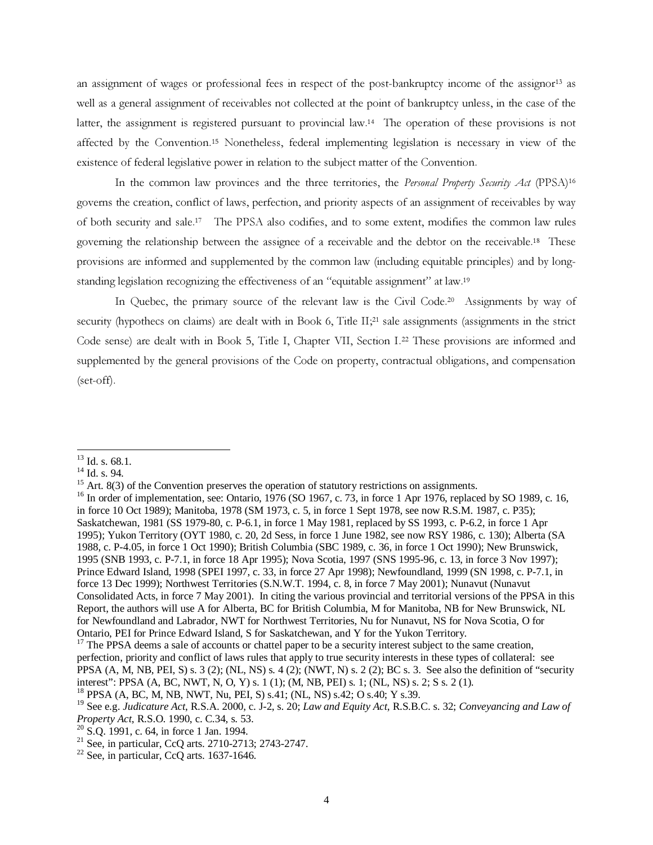an assignment of wages or professional fees in respect of the post-bankruptcy income of the assignor<sup>13</sup> as well as a general assignment of receivables not collected at the point of bankruptcy unless, in the case of the latter, the assignment is registered pursuant to provincial law.<sup>14</sup> The operation of these provisions is not affected by the Convention.<sup>15</sup> Nonetheless, federal implementing legislation is necessary in view of the existence of federal legislative power in relation to the subject matter of the Convention.

In the common law provinces and the three territories, the Personal Property Security Act (PPSA)<sup>16</sup> governs the creation, conflict of laws, perfection, and priority aspects of an assignment of receivables by way of both security and sale.<sup>17</sup> The PPSA also codifies, and to some extent, modifies the common law rules governing the relationship between the assignee of a receivable and the debtor on the receivable.<sup>18</sup> These provisions are informed and supplemented by the common law (including equitable principles) and by longstanding legislation recognizing the effectiveness of an "equitable assignment" at law.<sup>19</sup>

In Quebec, the primary source of the relevant law is the Civil Code.<sup>20</sup> Assignments by way of security (hypothecs on claims) are dealt with in Book 6, Title II;<sup>21</sup> sale assignments (assignments in the strict Code sense) are dealt with in Book 5, Title I, Chapter VII, Section I. <sup>22</sup> These provisions are informed and supplemented by the general provisions of the Code on property, contractual obligations, and compensation (set-off).

 $^{13}$  Id. s. 68.1.

 $14$  Id. s. 94.

 $15$  Art. 8(3) of the Convention preserves the operation of statutory restrictions on assignments.

<sup>&</sup>lt;sup>16</sup> In order of implementation, see: Ontario, 1976 (SO 1967, c. 73, in force 1 Apr 1976, replaced by SO 1989, c. 16, in force 10 Oct 1989); Manitoba, 1978 (SM 1973, c. 5, in force 1 Sept 1978, see now R.S.M. 1987, c. P35); Saskatchewan, 1981 (SS 1979-80, c. P-6.1, in force 1 May 1981, replaced by SS 1993, c. P-6.2, in force 1 Apr 1995); Yukon Territory (OYT 1980, c. 20, 2d Sess, in force 1 June 1982, see now RSY 1986, c. 130); Alberta (SA 1988, c. P-4.05, in force 1 Oct 1990); British Columbia (SBC 1989, c. 36, in force 1 Oct 1990); New Brunswick, 1995 (SNB 1993, c. P-7.1, in force 18 Apr 1995); Nova Scotia, 1997 (SNS 1995-96, c. 13, in force 3 Nov 1997); Prince Edward Island, 1998 (SPEI 1997, c. 33, in force 27 Apr 1998); Newfoundland, 1999 (SN 1998, c. P-7.1, in force 13 Dec 1999); Northwest Territories (S.N.W.T. 1994, c. 8, in force 7 May 2001); Nunavut (Nunavut Consolidated Acts, in force 7 May 2001). In citing the various provincial and territorial versions of the PPSA in this Report, the authors will use A for Alberta, BC for British Columbia, M for Manitoba, NB for New Brunswick, NL for Newfoundland and Labrador, NWT for Northwest Territories, Nu for Nunavut, NS for Nova Scotia, O for Ontario, PEI for Prince Edward Island, S for Saskatchewan, and Y for the Yukon Territory.

<sup>&</sup>lt;sup>17</sup> The PPSA deems a sale of accounts or chattel paper to be a security interest subject to the same creation, perfection, priority and conflict of laws rules that apply to true security interests in these types of collateral: see PPSA  $(A, M, NB, PEL, S)$  s. 3 (2);  $(NL, NS)$  s. 4 (2);  $(NWT, N)$  s. 2 (2); BC s. 3. See also the definition of "security" interest": PPSA (A, BC, NWT, N, O, Y) s. 1 (1); (M, NB, PEI) s. 1; (NL, NS) s. 2; S s. 2 (1).

<sup>18</sup> PPSA (A, BC, M, NB, NWT, Nu, PEI, S) s.41; (NL, NS) s.42; O s.40; Y s.39.

<sup>19</sup> See e.g. *Judicature Act*, R.S.A. 2000, c. J-2, s. 20; *Law and Equity Act*, R.S.B.C. s. 32; *Conveyancing and Law of Property Act*, R.S.O. 1990, c. C.34, s. 53.

<sup>20</sup> S.Q. 1991, c. 64, in force 1 Jan. 1994.

<sup>&</sup>lt;sup>21</sup> See, in particular, CcQ arts. 2710-2713; 2743-2747.

 $22$  See, in particular, CcQ arts. 1637-1646.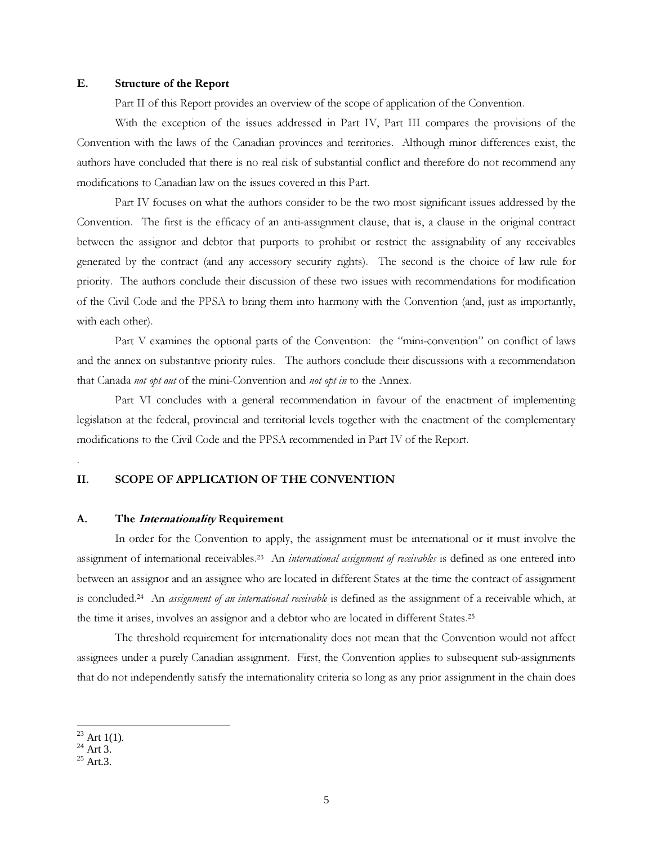### E. Structure of the Report

Part II of this Report provides an overview of the scope of application of the Convention.

With the exception of the issues addressed in Part IV, Part III compares the provisions of the Convention with the laws of the Canadian provinces and territories. Although minor differences exist, the authors have concluded that there is no real risk of substantial conflict and therefore do not recommend any modifications to Canadian law on the issues covered in this Part.

Part IV focuses on what the authors consider to be the two most significant issues addressed by the Convention. The first is the efficacy of an anti-assignment clause, that is, a clause in the original contract between the assignor and debtor that purports to prohibit or restrict the assignability of any receivables generated by the contract (and any accessory security rights). The second is the choice of law rule for priority. The authors conclude their discussion of these two issues with recommendations for modification of the Civil Code and the PPSA to bring them into harmony with the Convention (and, just as importantly, with each other).

Part V examines the optional parts of the Convention: the "mini-convention" on conflict of laws and the annex on substantive priority rules. The authors conclude their discussions with a recommendation that Canada not opt out of the mini-Convention and not opt in to the Annex.

Part VI concludes with a general recommendation in favour of the enactment of implementing legislation at the federal, provincial and territorial levels together with the enactment of the complementary modifications to the Civil Code and the PPSA recommended in Part IV of the Report.

#### II. SCOPE OF APPLICATION OF THE CONVENTION

#### A. The *Internationality* Requirement

In order for the Convention to apply, the assignment must be international or it must involve the assignment of international receivables.<sup>23</sup> An international assignment of receivables is defined as one entered into between an assignor and an assignee who are located in different States at the time the contract of assignment is concluded.<sup>24</sup> An *assignment of an international receivable* is defined as the assignment of a receivable which, at the time it arises, involves an assignor and a debtor who are located in different States. 25

The threshold requirement for internationality does not mean that the Convention would not affect assignees under a purely Canadian assignment. First, the Convention applies to subsequent sub-assignments that do not independently satisfy the internationality criteria so long as any prior assignment in the chain does

.

 $23$  Art 1(1).

 $^{24}$  Art 3.

 $25$  Art.3.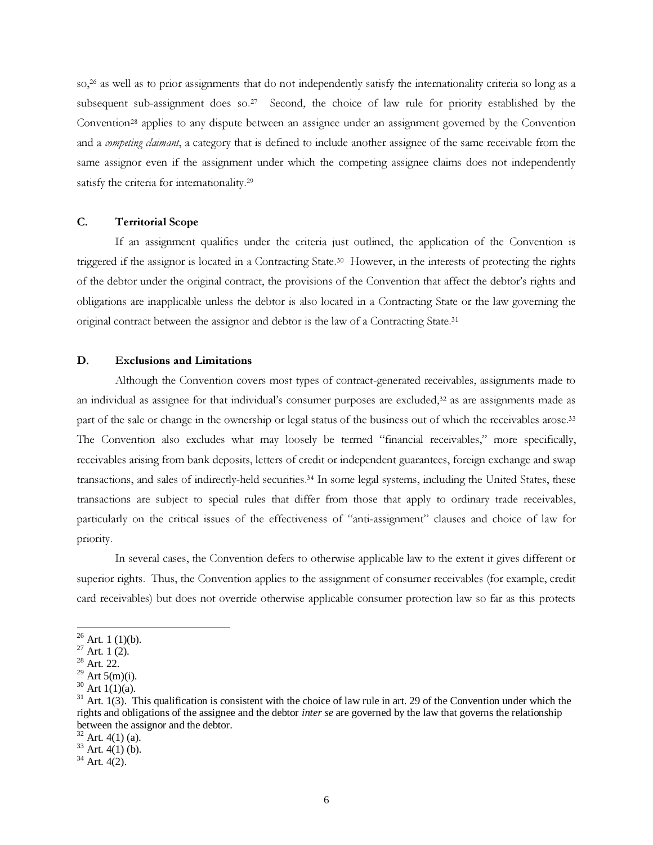so, <sup>26</sup> as well as to prior assignments that do not independently satisfy the internationality criteria so long as a subsequent sub-assignment does so.<sup>27</sup> Second, the choice of law rule for priority established by the Convention<sup>28</sup> applies to any dispute between an assignee under an assignment governed by the Convention and a *competing claimant*, a category that is defined to include another assignee of the same receivable from the same assignor even if the assignment under which the competing assignee claims does not independently satisfy the criteria for internationality.<sup>29</sup>

#### C. Territorial Scope

If an assignment qualifies under the criteria just outlined, the application of the Convention is triggered if the assignor is located in a Contracting State. <sup>30</sup> However, in the interests of protecting the rights of the debtor under the original contract, the provisions of the Convention that affect the debtor's rights and obligations are inapplicable unless the debtor is also located in a Contracting State or the law governing the original contract between the assignor and debtor is the law of a Contracting State. 31

#### D. Exclusions and Limitations

Although the Convention covers most types of contract-generated receivables, assignments made to an individual as assignee for that individual's consumer purposes are excluded, <sup>32</sup> as are assignments made as part of the sale or change in the ownership or legal status of the business out of which the receivables arose.<sup>33</sup> The Convention also excludes what may loosely be termed "financial receivables," more specifically, receivables arising from bank deposits, letters of credit or independent guarantees, foreign exchange and swap transactions, and sales of indirectly-held securities. <sup>34</sup> In some legal systems, including the United States, these transactions are subject to special rules that differ from those that apply to ordinary trade receivables, particularly on the critical issues of the effectiveness of "anti-assignment" clauses and choice of law for priority.

In several cases, the Convention defers to otherwise applicable law to the extent it gives different or superior rights. Thus, the Convention applies to the assignment of consumer receivables (for example, credit card receivables) but does not override otherwise applicable consumer protection law so far as this protects

 $26$  Art. 1 (1)(b).

 $27$  Art. 1 (2).

<sup>28</sup> Art. 22.

 $29$  Art 5(m)(i).

 $30$  Art 1(1)(a).

 $31$  Art. 1(3). This qualification is consistent with the choice of law rule in art. 29 of the Convention under which the rights and obligations of the assignee and the debtor *inter se* are governed by the law that governs the relationship between the assignor and the debtor.

 $32$  Art. 4(1) (a).

 $33$  Art. 4(1) (b).

 $34$  Art. 4(2).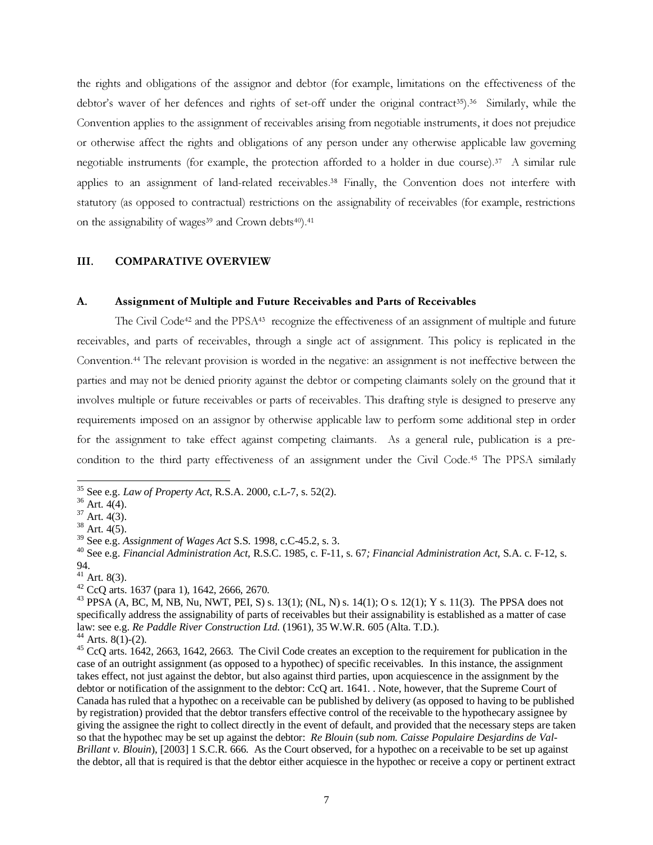the rights and obligations of the assignor and debtor (for example, limitations on the effectiveness of the debtor's waver of her defences and rights of set-off under the original contract 35). <sup>36</sup> Similarly, while the Convention applies to the assignment of receivables arising from negotiable instruments, it does not prejudice or otherwise affect the rights and obligations of any person under any otherwise applicable law governing negotiable instruments (for example, the protection afforded to a holder in due course). <sup>37</sup> A similar rule applies to an assignment of land-related receivables.<sup>38</sup> Finally, the Convention does not interfere with statutory (as opposed to contractual) restrictions on the assignability of receivables (for example, restrictions on the assignability of wages<sup>39</sup> and Crown debts<sup>40</sup>).<sup>41</sup>

### III. COMPARATIVE OVERVIEW

#### A. Assignment of Multiple and Future Receivables and Parts of Receivables

The Civil Code<sup>42</sup> and the PPSA<sup>43</sup> recognize the effectiveness of an assignment of multiple and future receivables, and parts of receivables, through a single act of assignment. This policy is replicated in the Convention. <sup>44</sup> The relevant provision is worded in the negative: an assignment is not ineffective between the parties and may not be denied priority against the debtor or competing claimants solely on the ground that it involves multiple or future receivables or parts of receivables. This drafting style is designed to preserve any requirements imposed on an assignor by otherwise applicable law to perform some additional step in order for the assignment to take effect against competing claimants. As a general rule, publication is a precondition to the third party effectiveness of an assignment under the Civil Code. <sup>45</sup> The PPSA similarly

<sup>35</sup> See e.g. *Law of Property Act*, R.S.A. 2000, c.L-7, s. 52(2).

<sup>36</sup> Art. 4(4).

 $37$  Art. 4(3).

 $38$  Art. 4(5).

<sup>39</sup> See e.g. *Assignment of Wages Act* S.S. 1998, c.C-45.2, s. 3.

<sup>40</sup> See e.g. *Financial Administration Act*, R.S.C. 1985, c. F-11, s. 67*; Financial Administration Act*, S.A. c. F-12, s. 94.

 $41$  Art. 8(3).

 $42$  CcQ arts. 1637 (para 1), 1642, 2666, 2670.

<sup>&</sup>lt;sup>43</sup> PPSA (A, BC, M, NB, Nu, NWT, PEI, S) s. 13(1); (NL, N) s. 14(1); O s. 12(1); Y s. 11(3). The PPSA does not specifically address the assignability of parts of receivables but their assignability is established as a matter of case law: see e.g. *Re Paddle River Construction Ltd.* (1961), 35 W.W.R. 605 (Alta. T.D.). <sup>44</sup> Arts. 8(1)-(2).

<sup>&</sup>lt;sup>45</sup> CcQ arts. 1642, 2663, 1642, 2663. The Civil Code creates an exception to the requirement for publication in the case of an outright assignment (as opposed to a hypothec) of specific receivables. In this instance, the assignment takes effect, not just against the debtor, but also against third parties, upon acquiescence in the assignment by the debtor or notification of the assignment to the debtor: CcQ art. 1641. . Note, however, that the Supreme Court of Canada has ruled that a hypothec on a receivable can be published by delivery (as opposed to having to be published by registration) provided that the debtor transfers effective control of the receivable to the hypothecary assignee by giving the assignee the right to collect directly in the event of default, and provided that the necessary steps are taken so that the hypothec may be set up against the debtor: *Re Blouin* (*sub nom. Caisse Populaire Desjardins de Val-Brillant v. Blouin*), [2003] 1 S.C.R. 666. As the Court observed, for a hypothec on a receivable to be set up against the debtor, all that is required is that the debtor either acquiesce in the hypothec or receive a copy or pertinent extract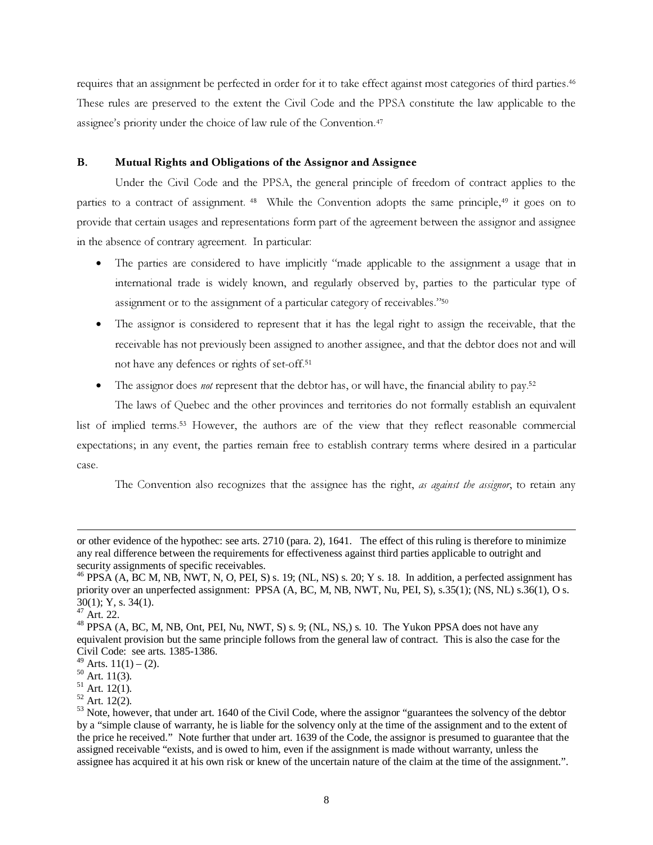requires that an assignment be perfected in order for it to take effect against most categories of third parties. 46 These rules are preserved to the extent the Civil Code and the PPSA constitute the law applicable to the assignee's priority under the choice of law rule of the Convention. 47

### B. Mutual Rights and Obligations of the Assignor and Assignee

Under the Civil Code and the PPSA, the general principle of freedom of contract applies to the parties to a contract of assignment.<sup>48</sup> While the Convention adopts the same principle,<sup>49</sup> it goes on to provide that certain usages and representations form part of the agreement between the assignor and assignee in the absence of contrary agreement. In particular:

- The parties are considered to have implicitly "made applicable to the assignment a usage that in international trade is widely known, and regularly observed by, parties to the particular type of assignment or to the assignment of a particular category of receivables."<sup>50</sup>
- The assignor is considered to represent that it has the legal right to assign the receivable, that the receivable has not previously been assigned to another assignee, and that the debtor does not and will not have any defences or rights of set-off. 51
- The assignor does *not* represent that the debtor has, or will have, the financial ability to pay.<sup>52</sup>

The laws of Quebec and the other provinces and territories do not formally establish an equivalent list of implied terms. <sup>53</sup> However, the authors are of the view that they reflect reasonable commercial expectations; in any event, the parties remain free to establish contrary terms where desired in a particular case.

The Convention also recognizes that the assignee has the right, as against the assignor, to retain any

or other evidence of the hypothec: see arts. 2710 (para. 2), 1641. The effect of this ruling is therefore to minimize any real difference between the requirements for effectiveness against third parties applicable to outright and security assignments of specific receivables.

<sup>&</sup>lt;sup>46</sup> PPSA (A, BC M, NB, NWT, N, O, PEI, S) s. 19; (NL, NS) s. 20; Y s. 18. In addition, a perfected assignment has priority over an unperfected assignment: PPSA (A, BC, M, NB, NWT, Nu, PEI, S), s.35(1); (NS, NL) s.36(1), O s. 30(1); Y, s. 34(1).

<sup>47</sup> Art. 22.

 $^{48}$  PPSA (A, BC, M, NB, Ont, PEI, Nu, NWT, S) s. 9; (NL, NS,) s. 10. The Yukon PPSA does not have any equivalent provision but the same principle follows from the general law of contract. This is also the case for the Civil Code: see arts. 1385-1386.

<sup>&</sup>lt;sup>49</sup> Arts.  $11(1) - (2)$ .

 $50 \text{ Art.} 11(3).$ 

<sup>51</sup> Art. 12(1).

<sup>52</sup> Art. 12(2).

<sup>&</sup>lt;sup>53</sup> Note, however, that under art. 1640 of the Civil Code, where the assignor "guarantees the solvency of the debtor by a "simple clause of warranty, he is liable for the solvency only at the time of the assignment and to the extent of the price he received." Note further that under art. 1639 of the Code, the assignor is presumed to guarantee that the assigned receivable "exists, and is owed to him, even if the assignment is made without warranty, unless the assignee has acquired it at his own risk or knew of the uncertain nature of the claim at the time of the assignment.".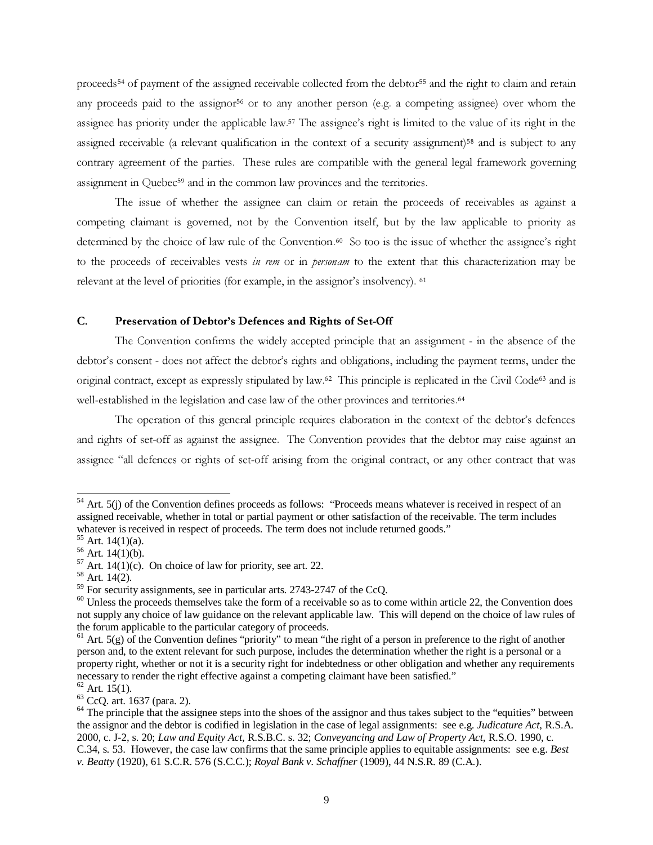proceeds <sup>54</sup> of payment of the assigned receivable collected from the debtor <sup>55</sup> and the right to claim and retain any proceeds paid to the assignor <sup>56</sup> or to any another person (e.g. a competing assignee) over whom the assignee has priority under the applicable law. <sup>57</sup> The assignee's right is limited to the value of its right in the assigned receivable (a relevant qualification in the context of a security assignment)<sup>58</sup> and is subject to any contrary agreement of the parties. These rules are compatible with the general legal framework governing assignment in Quebec <sup>59</sup> and in the common law provinces and the territories.

The issue of whether the assignee can claim or retain the proceeds of receivables as against a competing claimant is governed, not by the Convention itself, but by the law applicable to priority as determined by the choice of law rule of the Convention. <sup>60</sup> So too is the issue of whether the assignee's right to the proceeds of receivables vests in rem or in personam to the extent that this characterization may be relevant at the level of priorities (for example, in the assignor's insolvency). <sup>61</sup>

### C. Preservation of Debtor's Defences and Rights of Set-Off

The Convention confirms the widely accepted principle that an assignment - in the absence of the debtor's consent - does not affect the debtor's rights and obligations, including the payment terms, under the original contract, except as expressly stipulated by law. <sup>62</sup> This principle is replicated in the Civil Code <sup>63</sup> and is well-established in the legislation and case law of the other provinces and territories. 64

The operation of this general principle requires elaboration in the context of the debtor's defences and rights of set-off as against the assignee. The Convention provides that the debtor may raise against an assignee "all defences or rights of set-off arising from the original contract, or any other contract that was

<sup>63</sup> CcQ. art. 1637 (para. 2).

 $54$  Art. 5(j) of the Convention defines proceeds as follows: "Proceeds means whatever is received in respect of an assigned receivable, whether in total or partial payment or other satisfaction of the receivable. The term includes whatever is received in respect of proceeds. The term does not include returned goods."

 $55$  Art. 14(1)(a).

 $56$  Art. 14(1)(b).

<sup>&</sup>lt;sup>57</sup> Art. 14(1)(c). On choice of law for priority, see art. 22.

<sup>58</sup> Art. 14(2).

 $59$  For security assignments, see in particular arts. 2743-2747 of the CcQ.

 $60$  Unless the proceeds themselves take the form of a receivable so as to come within article 22, the Convention does not supply any choice of law guidance on the relevant applicable law. This will depend on the choice of law rules of the forum applicable to the particular category of proceeds.

 $61$  Art.  $5(g)$  of the Convention defines "priority" to mean "the right of a person in preference to the right of another person and, to the extent relevant for such purpose, includes the determination whether the right is a personal or a property right, whether or not it is a security right for indebtedness or other obligation and whether any requirements necessary to render the right effective against a competing claimant have been satisfied."

 $62$  Art. 15(1).

<sup>&</sup>lt;sup>64</sup> The principle that the assignee steps into the shoes of the assignor and thus takes subject to the "equities" between the assignor and the debtor is codified in legislation in the case of legal assignments: see e.g. *Judicature Act*, R.S.A. 2000, c. J-2, s. 20; *Law and Equity Act*, R.S.B.C. s. 32; *Conveyancing and Law of Property Act*, R.S.O. 1990, c. C.34, s. 53. However, the case law confirms that the same principle applies to equitable assignments: see e.g. *Best v. Beatty* (1920), 61 S.C.R. 576 (S.C.C.); *Royal Bank v. Schaffner* (1909), 44 N.S.R. 89 (C.A.).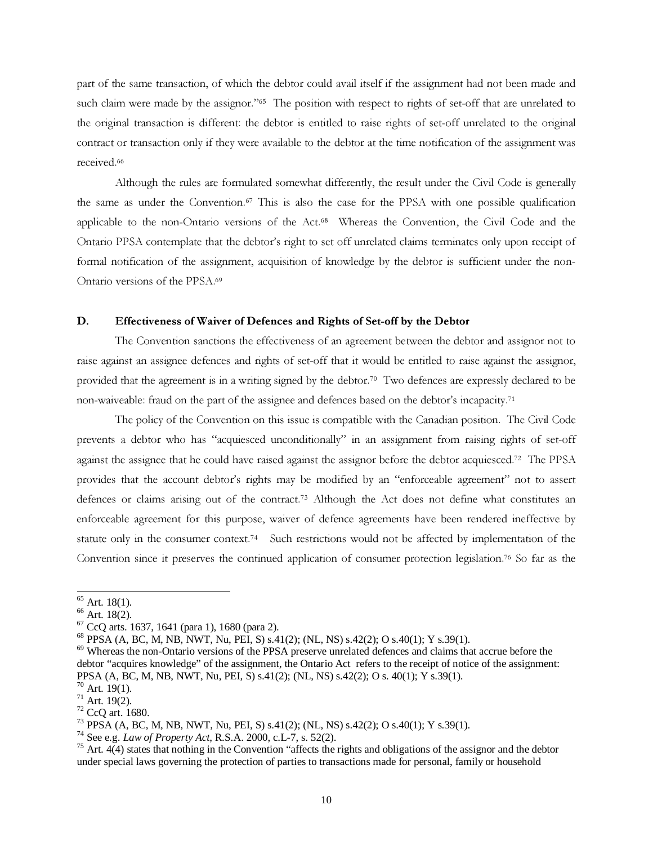part of the same transaction, of which the debtor could avail itself if the assignment had not been made and such claim were made by the assignor."<sup>65</sup> The position with respect to rights of set-off that are unrelated to the original transaction is different: the debtor is entitled to raise rights of set-off unrelated to the original contract or transaction only if they were available to the debtor at the time notification of the assignment was received. 66

Although the rules are formulated somewhat differently, the result under the Civil Code is generally the same as under the Convention. <sup>67</sup> This is also the case for the PPSA with one possible qualification applicable to the non-Ontario versions of the Act. <sup>68</sup> Whereas the Convention, the Civil Code and the Ontario PPSA contemplate that the debtor's right to set off unrelated claims terminates only upon receipt of formal notification of the assignment, acquisition of knowledge by the debtor is sufficient under the non-Ontario versions of the PPSA. 69

#### D. Effectiveness of Waiver of Defences and Rights of Set-off by the Debtor

The Convention sanctions the effectiveness of an agreement between the debtor and assignor not to raise against an assignee defences and rights of set-off that it would be entitled to raise against the assignor, provided that the agreement is in a writing signed by the debtor. <sup>70</sup> Two defences are expressly declared to be non-waiveable: fraud on the part of the assignee and defences based on the debtor's incapacity. 71

The policy of the Convention on this issue is compatible with the Canadian position. The Civil Code prevents a debtor who has "acquiesced unconditionally" in an assignment from raising rights of set-off against the assignee that he could have raised against the assignor before the debtor acquiesced. <sup>72</sup> The PPSA provides that the account debtor's rights may be modified by an "enforceable agreement" not to assert defences or claims arising out of the contract. <sup>73</sup> Although the Act does not define what constitutes an enforceable agreement for this purpose, waiver of defence agreements have been rendered ineffective by statute only in the consumer context.<sup>74</sup> Such restrictions would not be affected by implementation of the Convention since it preserves the continued application of consumer protection legislation.<sup>76</sup> So far as the

 $65$  Art. 18(1).

 $66$  Art. 18(2).

 $67$  CcQ arts. 1637, 1641 (para 1), 1680 (para 2).

<sup>68</sup> PPSA (A, BC, M, NB, NWT, Nu, PEI, S) s.41(2); (NL, NS) s.42(2); O s.40(1); Y s.39(1).

<sup>&</sup>lt;sup>69</sup> Whereas the non-Ontario versions of the PPSA preserve unrelated defences and claims that accrue before the debtor "acquires knowledge" of the assignment, the Ontario Act refers to the receipt of notice of the assignment: PPSA (A, BC, M, NB, NWT, Nu, PEI, S) s.41(2); (NL, NS) s.42(2); O s. 40(1); Y s.39(1).

 $70$  Art. 19(1).

 $71$  Art. 19(2).

<sup>72</sup> CcQ art. 1680.

<sup>73</sup> PPSA (A, BC, M, NB, NWT, Nu, PEI, S) s.41(2); (NL, NS) s.42(2); O s.40(1); Y s.39(1).

<sup>74</sup> See e.g. *Law of Property Act*, R.S.A. 2000, c.L-7, s. 52(2).

 $75$  Art.  $4(4)$  states that nothing in the Convention "affects the rights and obligations of the assignor and the debtor under special laws governing the protection of parties to transactions made for personal, family or household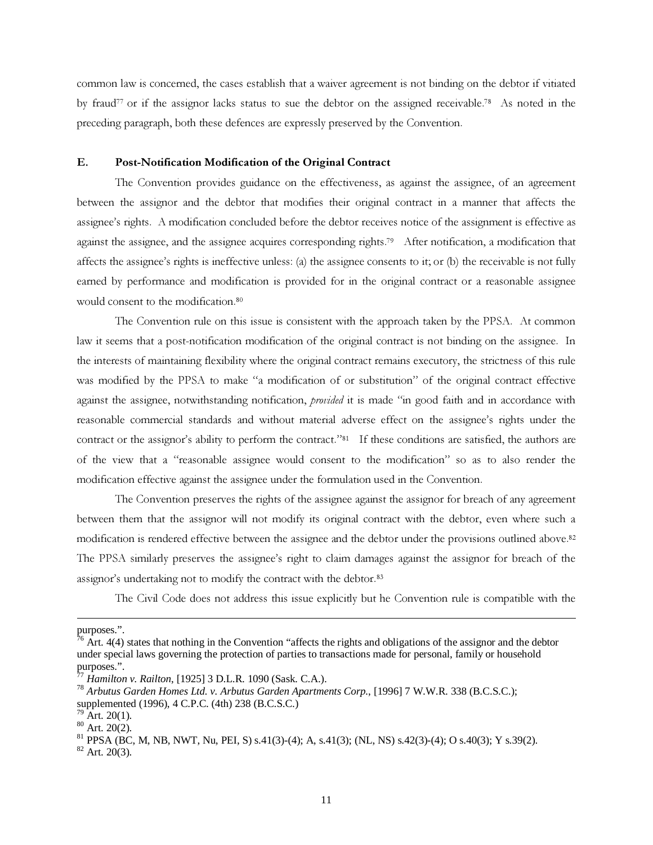common law is concerned, the cases establish that a waiver agreement is not binding on the debtor if vitiated by fraud<sup>77</sup> or if the assignor lacks status to sue the debtor on the assigned receivable.<sup>78</sup> As noted in the preceding paragraph, both these defences are expressly preserved by the Convention.

### E. Post-Notification Modification of the Original Contract

The Convention provides guidance on the effectiveness, as against the assignee, of an agreement between the assignor and the debtor that modifies their original contract in a manner that affects the assignee's rights. A modification concluded before the debtor receives notice of the assignment is effective as against the assignee, and the assignee acquires corresponding rights.<sup>79</sup> After notification, a modification that affects the assignee's rights is ineffective unless: (a) the assignee consents to it; or (b) the receivable is not fully earned by performance and modification is provided for in the original contract or a reasonable assignee would consent to the modification.<sup>80</sup>

The Convention rule on this issue is consistent with the approach taken by the PPSA. At common law it seems that a post-notification modification of the original contract is not binding on the assignee. In the interests of maintaining flexibility where the original contract remains executory, the strictness of this rule was modified by the PPSA to make "a modification of or substitution" of the original contract effective against the assignee, notwithstanding notification, *provided* it is made "in good faith and in accordance with reasonable commercial standards and without material adverse effect on the assignee's rights under the contract or the assignor's ability to perform the contract."<sup>81</sup> If these conditions are satisfied, the authors are of the view that a "reasonable assignee would consent to the modification" so as to also render the modification effective against the assignee under the formulation used in the Convention.

The Convention preserves the rights of the assignee against the assignor for breach of any agreement between them that the assignor will not modify its original contract with the debtor, even where such a modification is rendered effective between the assignee and the debtor under the provisions outlined above. 82 The PPSA similarly preserves the assignee's right to claim damages against the assignor for breach of the assignor's undertaking not to modify the contract with the debtor.<sup>83</sup>

The Civil Code does not address this issue explicitly but he Convention rule is compatible with the

purposes.".

 $76$  Art. 4(4) states that nothing in the Convention "affects the rights and obligations of the assignor and the debtor under special laws governing the protection of parties to transactions made for personal, family or household purposes.".

<sup>77</sup> *Hamilton v. Railton*, [1925] 3 D.L.R. 1090 (Sask. C.A.).

<sup>78</sup> *Arbutus Garden Homes Ltd. v. Arbutus Garden Apartments Corp.*, [1996] 7 W.W.R. 338 (B.C.S.C.);

supplemented (1996), 4 C.P.C. (4th) 238 (B.C.S.C.)

Art.  $20(1)$ .

 $80$  Art. 20(2).

<sup>81</sup> PPSA (BC, M, NB, NWT, Nu, PEI, S) s.41(3)-(4); A, s.41(3); (NL, NS) s.42(3)-(4); O s.40(3); Y s.39(2).

 $82$  Art. 20(3).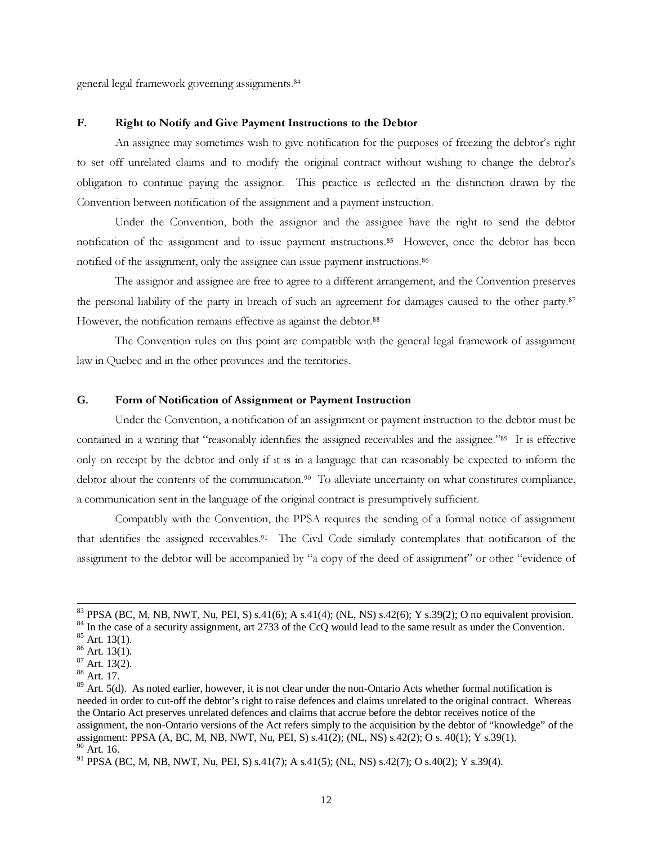general legal framework governing assignments. 84

### F. Right to Notify and Give Payment Instructions to the Debtor

An assignee may sometimes wish to give notification for the purposes of freezing the debtor's right to set off unrelated claims and to modify the original contract without wishing to change the debtor's obligation to continue paying the assignor. This practice is reflected in the distinction drawn by the Convention between notification of the assignment and a payment instruction.

Under the Convention, both the assignor and the assignee have the right to send the debtor notification of the assignment and to issue payment instructions. <sup>85</sup> However, once the debtor has been notified of the assignment, only the assignee can issue payment instructions. 86

The assignor and assignee are free to agree to a different arrangement, and the Convention preserves the personal liability of the party in breach of such an agreement for damages caused to the other party.<sup>87</sup> However, the notification remains effective as against the debtor.<sup>88</sup>

The Convention rules on this point are compatible with the general legal framework of assignment law in Quebec and in the other provinces and the territories.

#### G. Form of Notification of Assignment or Payment Instruction

Under the Convention, a notification of an assignment or payment instruction to the debtor must be contained in a writing that "reasonably identifies the assigned receivables and the assignee."<sup>89</sup> It is effective only on receipt by the debtor and only if it is in a language that can reasonably be expected to inform the debtor about the contents of the communication.<sup>90</sup> To alleviate uncertainty on what constitutes compliance, a communication sent in the language of the original contract is presumptively sufficient.

Compatibly with the Convention, the PPSA requires the sending of a formal notice of assignment that identifies the assigned receivables. <sup>91</sup> The Civil Code similarly contemplates that notification of the assignment to the debtor will be accompanied by "a copy of the deed of assignment" or other "evidence of

<sup>&</sup>lt;sup>83</sup> PPSA (BC, M, NB, NWT, Nu, PEI, S) s.41(6); A s.41(4); (NL, NS) s.42(6); Y s.39(2); O no equivalent provision.

<sup>&</sup>lt;sup>84</sup> In the case of a security assignment, art 2733 of the CcQ would lead to the same result as under the Convention.

 $85$  Art. 13(1).

 $86$  Art. 13(1).

<sup>87</sup> Art. 13(2).

<sup>88</sup> Art. 17.

 $89$  Art. 5(d). As noted earlier, however, it is not clear under the non-Ontario Acts whether formal notification is needed in order to cut-off the debtor's right to raise defences and claims unrelated to the original contract. Whereas the Ontario Act preserves unrelated defences and claims that accrue before the debtor receives notice of the assignment, the non-Ontario versions of the Act refers simply to the acquisition by the debtor of "knowledge" of the assignment: PPSA (A, BC, M, NB, NWT, Nu, PEI, S) s.41(2); (NL, NS) s.42(2); O s. 40(1); Y s.39(1). <sup>90</sup> Art. 16.

<sup>91</sup> PPSA (BC, M, NB, NWT, Nu, PEI, S) s.41(7); A s.41(5); (NL, NS) s.42(7); O s.40(2); Y s.39(4).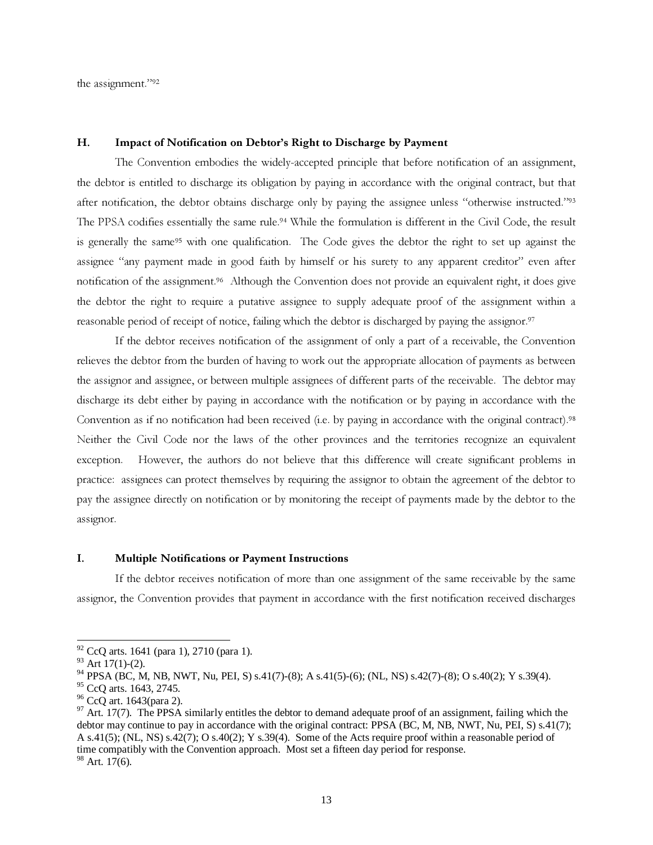the assignment." 92

### H. Impact of Notification on Debtor's Right to Discharge by Payment

The Convention embodies the widely-accepted principle that before notification of an assignment, the debtor is entitled to discharge its obligation by paying in accordance with the original contract, but that after notification, the debtor obtains discharge only by paying the assignee unless "otherwise instructed."<sup>93</sup> The PPSA codifies essentially the same rule. <sup>94</sup> While the formulation is different in the Civil Code, the result is generally the same<sup>95</sup> with one qualification. The Code gives the debtor the right to set up against the assignee "any payment made in good faith by himself or his surety to any apparent creditor" even after notification of the assignment. <sup>96</sup> Although the Convention does not provide an equivalent right, it does give the debtor the right to require a putative assignee to supply adequate proof of the assignment within a reasonable period of receipt of notice, failing which the debtor is discharged by paying the assignor.<sup>97</sup>

If the debtor receives notification of the assignment of only a part of a receivable, the Convention relieves the debtor from the burden of having to work out the appropriate allocation of payments as between the assignor and assignee, or between multiple assignees of different parts of the receivable. The debtor may discharge its debt either by paying in accordance with the notification or by paying in accordance with the Convention as if no notification had been received (i.e. by paying in accordance with the original contract).<sup>98</sup> Neither the Civil Code nor the laws of the other provinces and the territories recognize an equivalent exception. However, the authors do not believe that this difference will create significant problems in practice: assignees can protect themselves by requiring the assignor to obtain the agreement of the debtor to pay the assignee directly on notification or by monitoring the receipt of payments made by the debtor to the assignor.

### I. Multiple Notifications or Payment Instructions

If the debtor receives notification of more than one assignment of the same receivable by the same assignor, the Convention provides that payment in accordance with the first notification received discharges

<sup>92</sup> CcQ arts. 1641 (para 1), 2710 (para 1).

 $93$  Art 17(1)-(2).

<sup>94</sup> PPSA (BC, M, NB, NWT, Nu, PEI, S) s.41(7)-(8); A s.41(5)-(6); (NL, NS) s.42(7)-(8); O s.40(2); Y s.39(4).

<sup>&</sup>lt;sup>95</sup> CcQ arts. 1643, 2745.

<sup>96</sup> CcQ art. 1643(para 2).

 $97$  Art. 17(7). The PPSA similarly entitles the debtor to demand adequate proof of an assignment, failing which the debtor may continue to pay in accordance with the original contract: PPSA (BC, M, NB, NWT, Nu, PEI, S) s.41(7); A s.41(5); (NL, NS) s.42(7); O s.40(2); Y s.39(4). Some of the Acts require proof within a reasonable period of time compatibly with the Convention approach. Most set a fifteen day period for response.

 $98$  Art. 17(6).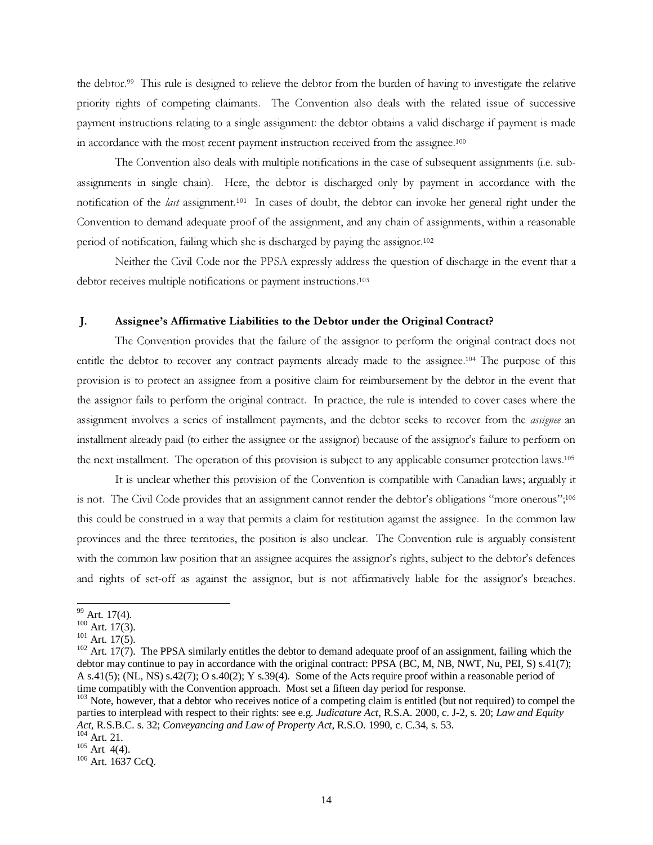the debtor. <sup>99</sup> This rule is designed to relieve the debtor from the burden of having to investigate the relative priority rights of competing claimants. The Convention also deals with the related issue of successive payment instructions relating to a single assignment: the debtor obtains a valid discharge if payment is made in accordance with the most recent payment instruction received from the assignee.<sup>100</sup>

The Convention also deals with multiple notifications in the case of subsequent assignments (i.e. subassignments in single chain). Here, the debtor is discharged only by payment in accordance with the notification of the *last* assignment.<sup>101</sup> In cases of doubt, the debtor can invoke her general right under the Convention to demand adequate proof of the assignment, and any chain of assignments, within a reasonable period of notification, failing which she is discharged by paying the assignor. 102

Neither the Civil Code nor the PPSA expressly address the question of discharge in the event that a debtor receives multiple notifications or payment instructions. 103

#### J. Assignee's Affirmative Liabilities to the Debtor under the Original Contract?

The Convention provides that the failure of the assignor to perform the original contract does not entitle the debtor to recover any contract payments already made to the assignee.<sup>104</sup> The purpose of this provision is to protect an assignee from a positive claim for reimbursement by the debtor in the event that the assignor fails to perform the original contract. In practice, the rule is intended to cover cases where the assignment involves a series of installment payments, and the debtor seeks to recover from the assignee an installment already paid (to either the assignee or the assignor) because of the assignor's failure to perform on the next installment. The operation of this provision is subject to any applicable consumer protection laws.<sup>105</sup>

It is unclear whether this provision of the Convention is compatible with Canadian laws; arguably it is not. The Civil Code provides that an assignment cannot render the debtor's obligations "more onerous";<sup>106</sup> this could be construed in a way that permits a claim for restitution against the assignee. In the common law provinces and the three territories, the position is also unclear. The Convention rule is arguably consistent with the common law position that an assignee acquires the assignor's rights, subject to the debtor's defences and rights of set-off as against the assignor, but is not affirmatively liable for the assignor's breaches.

<sup>99</sup> Art. 17(4).

 $100$  Art. 17(3).

 $101$  Art. 17(5).

 $102$  Art. 17(7). The PPSA similarly entitles the debtor to demand adequate proof of an assignment, failing which the debtor may continue to pay in accordance with the original contract: PPSA (BC, M, NB, NWT, Nu, PEI, S) s.41(7); A s.41(5); (NL, NS) s.42(7); O s.40(2); Y s.39(4). Some of the Acts require proof within a reasonable period of time compatibly with the Convention approach. Most set a fifteen day period for response.

<sup>&</sup>lt;sup>103</sup> Note, however, that a debtor who receives notice of a competing claim is entitled (but not required) to compel the parties to interplead with respect to their rights: see e.g. *Judicature Act*, R.S.A. 2000, c. J-2, s. 20; *Law and Equity Act*, R.S.B.C. s. 32; *Conveyancing and Law of Property Act*, R.S.O. 1990, c. C.34, s. 53.

 $104$  Art. 21.  $105$  Art 4(4).

<sup>106</sup> Art. 1637 CcQ.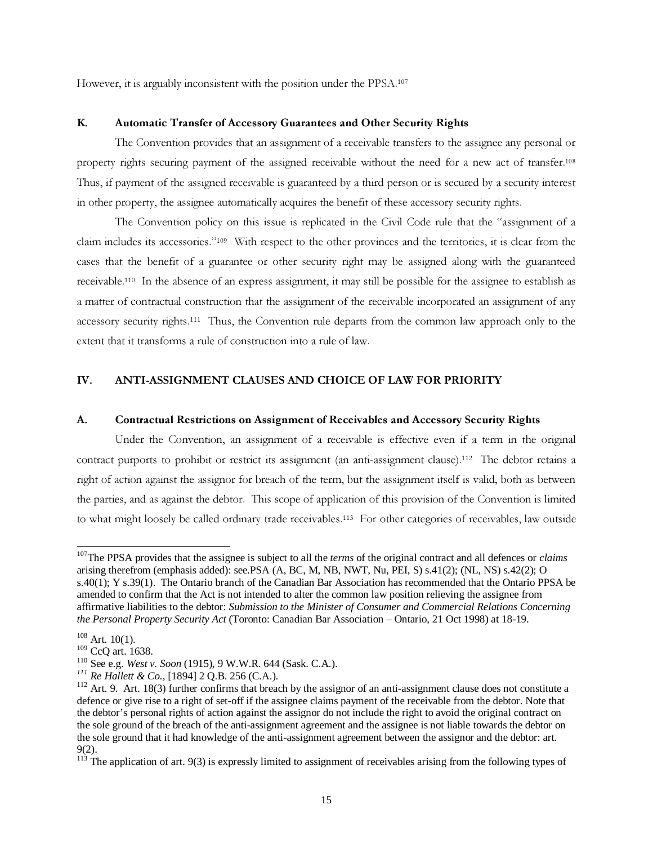However, it is arguably inconsistent with the position under the PPSA.<sup>107</sup>

### K. Automatic Transfer of Accessory Guarantees and Other Security Rights

The Convention provides that an assignment of a receivable transfers to the assignee any personal or property rights securing payment of the assigned receivable without the need for a new act of transfer. 108 Thus, if payment of the assigned receivable is guaranteed by a third person or is secured by a security interest in other property, the assignee automatically acquires the benefit of these accessory security rights.

The Convention policy on this issue is replicated in the Civil Code rule that the "assignment of a claim includes its accessories." <sup>109</sup> With respect to the other provinces and the territories, it is clear from the cases that the benefit of a guarantee or other security right may be assigned along with the guaranteed receivable.<sup>110</sup> In the absence of an express assignment, it may still be possible for the assignee to establish as a matter of contractual construction that the assignment of the receivable incorporated an assignment of any accessory security rights.<sup>111</sup> Thus, the Convention rule departs from the common law approach only to the extent that it transforms a rule of construction into a rule of law.

### IV. ANTI-ASSIGNMENT CLAUSES AND CHOICE OF LAW FOR PRIORITY

#### A. Contractual Restrictions on Assignment of Receivables and Accessory Security Rights

Under the Convention, an assignment of a receivable is effective even if a term in the original contract purports to prohibit or restrict its assignment (an anti-assignment clause).<sup>112</sup> The debtor retains a right of action against the assignor for breach of the term, but the assignment itself is valid, both as between the parties, and as against the debtor. This scope of application of this provision of the Convention is limited to what might loosely be called ordinary trade receivables.<sup>113</sup> For other categories of receivables, law outside

<sup>107</sup>The PPSA provides that the assignee is subject to all the *terms* of the original contract and all defences or *claims* arising therefrom (emphasis added): see.PSA (A, BC, M, NB, NWT, Nu, PEI, S) s.41(2); (NL, NS) s.42(2); O s.40(1); Y s.39(1). The Ontario branch of the Canadian Bar Association has recommended that the Ontario PPSA be amended to confirm that the Act is not intended to alter the common law position relieving the assignee from affirmative liabilities to the debtor: *Submission to the Minister of Consumer and Commercial Relations Concerning the Personal Property Security Act* (Toronto: Canadian Bar Association – Ontario, 21 Oct 1998) at 18-19.

 $108$  Art. 10(1).

<sup>109</sup> CcQ art. 1638.

<sup>110</sup> See e.g. *West v. Soon* (1915), 9 W.W.R. 644 (Sask. C.A.).

*<sup>111</sup> Re Hallett & Co.*, [1894] 2 Q.B. 256 (C.A.).

 $112$  Art. 9. Art. 18(3) further confirms that breach by the assignor of an anti-assignment clause does not constitute a defence or give rise to a right of set-off if the assignee claims payment of the receivable from the debtor. Note that the debtor's personal rights of action against the assignor do not include the right to avoid the original contract on the sole ground of the breach of the anti-assignment agreement and the assignee is not liable towards the debtor on the sole ground that it had knowledge of the anti-assignment agreement between the assignor and the debtor: art. 9(2).

 $113$  The application of art. 9(3) is expressly limited to assignment of receivables arising from the following types of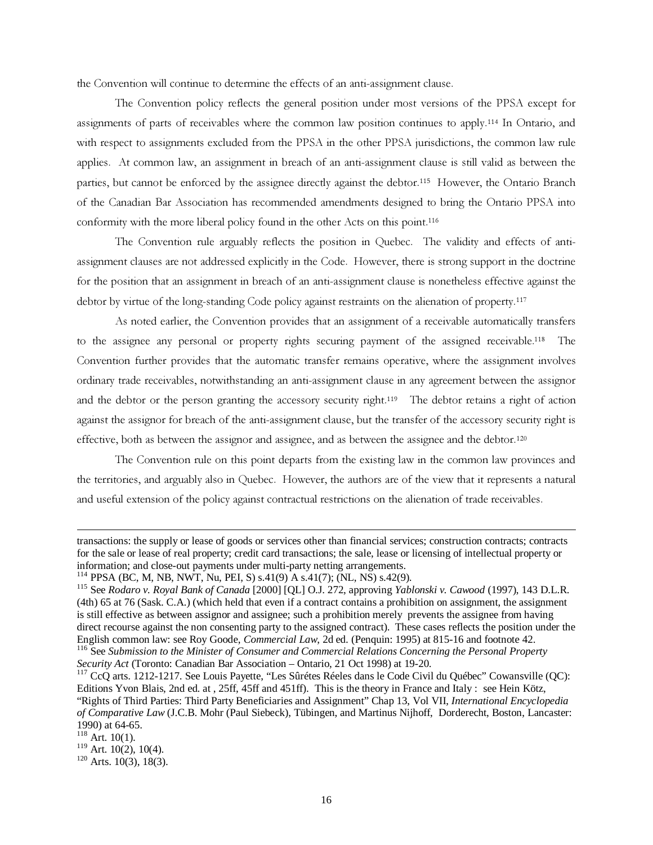the Convention will continue to determine the effects of an anti-assignment clause.

The Convention policy reflects the general position under most versions of the PPSA except for assignments of parts of receivables where the common law position continues to apply.<sup>114</sup> In Ontario, and with respect to assignments excluded from the PPSA in the other PPSA jurisdictions, the common law rule applies. At common law, an assignment in breach of an anti-assignment clause is still valid as between the parties, but cannot be enforced by the assignee directly against the debtor.<sup>115</sup> However, the Ontario Branch of the Canadian Bar Association has recommended amendments designed to bring the Ontario PPSA into conformity with the more liberal policy found in the other Acts on this point.<sup>116</sup>

The Convention rule arguably reflects the position in Quebec. The validity and effects of antiassignment clauses are not addressed explicitly in the Code. However, there is strong support in the doctrine for the position that an assignment in breach of an anti-assignment clause is nonetheless effective against the debtor by virtue of the long-standing Code policy against restraints on the alienation of property.<sup>117</sup>

As noted earlier, the Convention provides that an assignment of a receivable automatically transfers to the assignee any personal or property rights securing payment of the assigned receivable.<sup>118</sup> The Convention further provides that the automatic transfer remains operative, where the assignment involves ordinary trade receivables, notwithstanding an anti-assignment clause in any agreement between the assignor and the debtor or the person granting the accessory security right.<sup>119</sup> The debtor retains a right of action against the assignor for breach of the anti-assignment clause, but the transfer of the accessory security right is effective, both as between the assignor and assignee, and as between the assignee and the debtor.<sup>120</sup>

The Convention rule on this point departs from the existing law in the common law provinces and the territories, and arguably also in Quebec. However, the authors are of the view that it represents a natural and useful extension of the policy against contractual restrictions on the alienation of trade receivables.

 $120$  Arts. 10(3), 18(3).

transactions: the supply or lease of goods or services other than financial services; construction contracts; contracts for the sale or lease of real property; credit card transactions; the sale, lease or licensing of intellectual property or information; and close-out payments under multi-party netting arrangements.

<sup>114</sup> PPSA (BC, M, NB, NWT, Nu, PEI, S) s.41(9) A s.41(7); (NL, NS) s.42(9).

<sup>115</sup> See *Rodaro v. Royal Bank of Canada* [2000] [QL] O.J. 272, approving *Yablonski v. Cawood* (1997), 143 D.L.R. (4th) 65 at 76 (Sask. C.A.) (which held that even if a contract contains a prohibition on assignment, the assignment is still effective as between assignor and assignee; such a prohibition merely prevents the assignee from having direct recourse against the non consenting party to the assigned contract). These cases reflects the position under the English common law: see Roy Goode, *Commercial Law*, 2d ed. (Penquin: 1995) at 815-16 and footnote 42.

<sup>116</sup> See *Submission to the Minister of Consumer and Commercial Relations Concerning the Personal Property Security Act* (Toronto: Canadian Bar Association – Ontario, 21 Oct 1998) at 19-20.

<sup>&</sup>lt;sup>117</sup> CcO arts. 1212-1217. See Louis Payette, "Les Sûrétes Réeles dans le Code Civil du Québec" Cowansville (QC): Editions Yvon Blais, 2nd ed. at , 25ff, 45ff and 451ff). This is the theory in France and Italy : see Hein Kötz, "Rights of Third Parties: Third Party Beneficiaries and Assignment" Chap 13, Vol VII, *International Encyclopedia of Comparative Law* (J.C.B. Mohr (Paul Siebeck), Tübingen, and Martinus Nijhoff, Dorderecht, Boston, Lancaster: 1990) at 64-65.

 $118$  Art. 10(1).

 $119$  Art. 10(2), 10(4).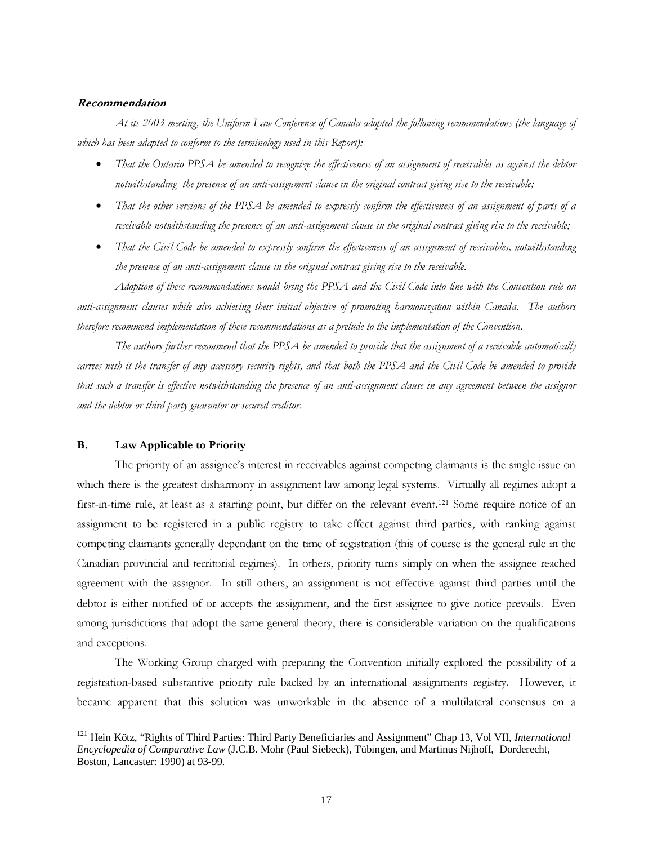#### Recommendation

At its 2003 meeting, the Uniform Law Conference of Canada adopted the following recommendations (the language of which has been adapted to conform to the terminology used in this Report):

- That the Ontario PPSA be amended to recognize the effectiveness of an assignment of receivables as against the debtor notwithstanding the presence of an anti-assignment clause in the original contract giving rise to the receivable;
- That the other versions of the PPSA be amended to expressly confirm the effectiveness of an assignment of parts of a receivable notwithstanding the presence of an anti-assignment clause in the original contract giving rise to the receivable;
- That the Civil Code be amended to expressly confirm the effectiveness of an assignment of receivables, notwithstanding the presence of an anti-assignment clause in the original contract giving rise to the receivable.

Adoption of these recommendations would bring the PPSA and the Civil Code into line with the Convention rule on anti-assignment clauses while also achieving their initial objective of promoting harmonization within Canada. The authors therefore recommend implementation of these recommendations as a prelude to the implementation of the Convention.

The authors further recommend that the PPSA be amended to provide that the assignment of a receivable automatically carries with it the transfer of any accessory security rights, and that both the PPSA and the Civil Code be amended to provide that such a transfer is effective notwithstanding the presence of an anti-assignment clause in anyagreement between the assignor and the debtor or third party guarantor or secured creditor.

### B. Law Applicable to Priority

The priority of an assignee's interest in receivables against competing claimants is the single issue on which there is the greatest disharmony in assignment law among legal systems. Virtually all regimes adopt a first-in-time rule, at least as a starting point, but differ on the relevant event.<sup>121</sup> Some require notice of an assignment to be registered in a public registry to take effect against third parties, with ranking against competing claimants generally dependant on the time of registration (this of course is the general rule in the Canadian provincial and territorial regimes). In others, priority turns simply on when the assignee reached agreement with the assignor. In still others, an assignment is not effective against third parties until the debtor is either notified of or accepts the assignment, and the first assignee to give notice prevails. Even among jurisdictions that adopt the same general theory, there is considerable variation on the qualifications and exceptions.

The Working Group charged with preparing the Convention initially explored the possibility of a registration-based substantive priority rule backed by an international assignments registry. However, it became apparent that this solution was unworkable in the absence of a multilateral consensus on a

<sup>121</sup> Hein Kötz, "Rights of Third Parties: Third Party Beneficiaries and Assignment" Chap 13, Vol VII, *International Encyclopedia of Comparative Law* (J.C.B. Mohr (Paul Siebeck), Tübingen, and Martinus Nijhoff, Dorderecht, Boston, Lancaster: 1990) at 93-99.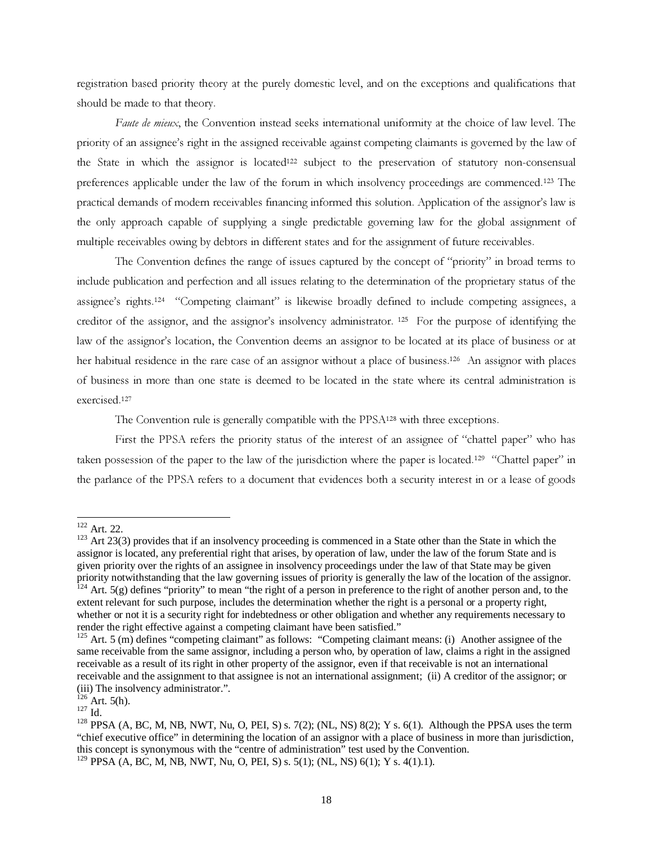registration based priority theory at the purely domestic level, and on the exceptions and qualifications that should be made to that theory.

Faute de mieux, the Convention instead seeks international uniformity at the choice of law level. The priority of an assignee's right in the assigned receivable against competing claimants is governed by the law of the State in which the assignor is located<sup>122</sup> subject to the preservation of statutory non-consensual preferences applicable under the law of the forum in which insolvency proceedings are commenced.<sup>123</sup> The practical demands of modern receivables financing informed this solution. Application of the assignor's law is the only approach capable of supplying a single predictable governing law for the global assignment of multiple receivables owing by debtors in different states and for the assignment of future receivables.

The Convention defines the range of issues captured by the concept of "priority" in broad terms to include publication and perfection and all issues relating to the determination of the proprietary status of the assignee's rights.<sup>124</sup> "Competing claimant" is likewise broadly defined to include competing assignees, a creditor of the assignor, and the assignor's insolvency administrator. <sup>125</sup> For the purpose of identifying the law of the assignor's location, the Convention deems an assignor to be located at its place of business or at her habitual residence in the rare case of an assignor without a place of business.<sup>126</sup> An assignor with places of business in more than one state is deemed to be located in the state where its central administration is exercised.<sup>127</sup>

The Convention rule is generally compatible with the PPSA<sup>128</sup> with three exceptions.

First the PPSA refers the priority status of the interest of an assignee of "chattel paper" who has taken possession of the paper to the law of the jurisdiction where the paper is located.<sup>129</sup> "Chattel paper" in the parlance of the PPSA refers to a document that evidences both a security interest in or a lease of goods

 $122$  Art. 22.

 $123$  Art 23(3) provides that if an insolvency proceeding is commenced in a State other than the State in which the assignor is located, any preferential right that arises, by operation of law, under the law of the forum State and is given priority over the rights of an assignee in insolvency proceedings under the law of that State may be given priority notwithstanding that the law governing issues of priority is generally the law of the location of the assignor.

 $^{124}$  Art. 5(g) defines "priority" to mean "the right of a person in preference to the right of another person and, to the extent relevant for such purpose, includes the determination whether the right is a personal or a property right, whether or not it is a security right for indebtedness or other obligation and whether any requirements necessary to render the right effective against a competing claimant have been satisfied."

<sup>&</sup>lt;sup>125</sup> Art. 5 (m) defines "competing claimant" as follows: "Competing claimant means: (i) Another assignee of the same receivable from the same assignor, including a person who, by operation of law, claims a right in the assigned receivable as a result of its right in other property of the assignor, even if that receivable is not an international receivable and the assignment to that assignee is not an international assignment; (ii) A creditor of the assignor; or (iii) The insolvency administrator.".

 $126$  Art. 5(h).

 $^{127}$  Id.

<sup>&</sup>lt;sup>128</sup> PPSA (A, BC, M, NB, NWT, Nu, O, PEI, S) s. 7(2); (NL, NS) 8(2); Y s. 6(1). Although the PPSA uses the term "chief executive office" in determining the location of an assignor with a place of business in more than jurisdiction, this concept is synonymous with the "centre of administration" test used by the Convention. 129 PPSA (A, BC, M, NB, NWT, Nu, O, PEI, S) s. 5(1); (NL, NS) 6(1); Y s. 4(1).1).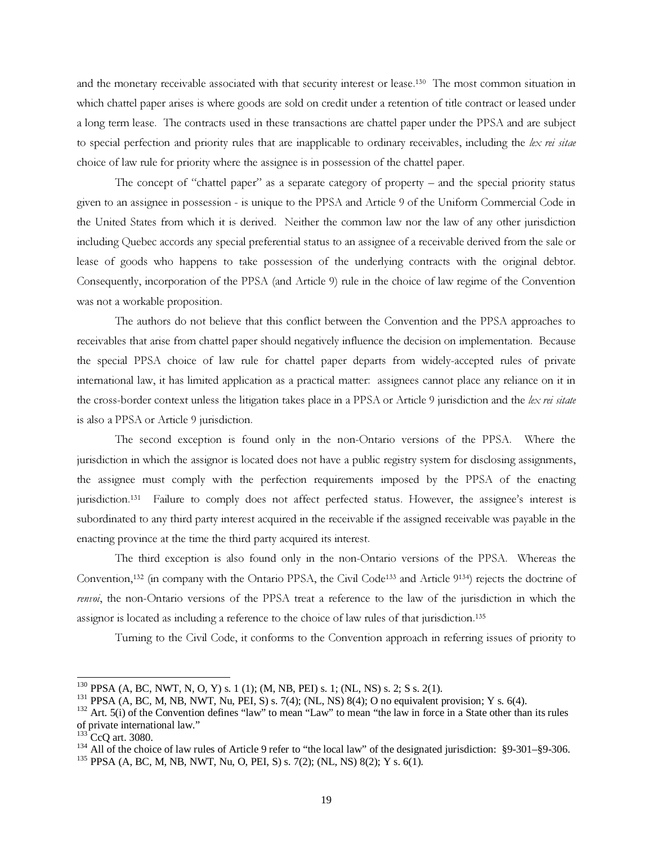and the monetary receivable associated with that security interest or lease.<sup>130</sup> The most common situation in which chattel paper arises is where goods are sold on credit under a retention of title contract or leased under a long term lease. The contracts used in these transactions are chattel paper under the PPSA and are subject to special perfection and priority rules that are inapplicable to ordinary receivables, including the lex rei sitae choice of law rule for priority where the assignee is in possession of the chattel paper.

The concept of "chattel paper" as a separate category of property – and the special priority status given to an assignee in possession - is unique to the PPSA and Article 9 of the Uniform Commercial Code in the United States from which it is derived. Neither the common law nor the law of any other jurisdiction including Quebec accords any special preferential status to an assignee of a receivable derived from the sale or lease of goods who happens to take possession of the underlying contracts with the original debtor. Consequently, incorporation of the PPSA (and Article 9) rule in the choice of law regime of the Convention was not a workable proposition.

The authors do not believe that this conflict between the Convention and the PPSA approaches to receivables that arise from chattel paper should negatively influence the decision on implementation. Because the special PPSA choice of law rule for chattel paper departs from widely-accepted rules of private international law, it has limited application as a practical matter: assignees cannot place any reliance on it in the cross-border context unless the litigation takes place in a PPSA or Article 9 jurisdiction and the lex rei sitate is also a PPSA or Article 9 jurisdiction.

The second exception is found only in the non-Ontario versions of the PPSA. Where the jurisdiction in which the assignor is located does not have a public registry system for disclosing assignments, the assignee must comply with the perfection requirements imposed by the PPSA of the enacting jurisdiction.<sup>131</sup> Failure to comply does not affect perfected status. However, the assignee's interest is subordinated to any third party interest acquired in the receivable if the assigned receivable was payable in the enacting province at the time the third party acquired its interest.

The third exception is also found only in the non-Ontario versions of the PPSA. Whereas the Convention,<sup>132</sup> (in company with the Ontario PPSA, the Civil Code<sup>133</sup> and Article 9134) rejects the doctrine of renvoi, the non-Ontario versions of the PPSA treat a reference to the law of the jurisdiction in which the assignor is located as including a reference to the choice of law rules of that jurisdiction.<sup>135</sup>

Turning to the Civil Code, it conforms to the Convention approach in referring issues of priority to

 $^{130}$  PPSA (A, BC, NWT, N, O, Y) s. 1 (1); (M, NB, PEI) s. 1; (NL, NS) s. 2; S s. 2(1).

 $^{131}$  PPSA (A, BC, M, NB, NWT, Nu, PEI, S) s. 7(4); (NL, NS) 8(4); O no equivalent provision; Y s. 6(4).

 $132$  Art. 5(i) of the Convention defines "law" to mean "Law" to mean "the law in force in a State other than its rules of private international law."

<sup>&</sup>lt;sup>133</sup> CcQ art. 3080.

<sup>&</sup>lt;sup>134</sup> All of the choice of law rules of Article 9 refer to "the local law" of the designated jurisdiction: §9-301–§9-306.

<sup>135</sup> PPSA (A, BC, M, NB, NWT, Nu, O, PEI, S) s. 7(2); (NL, NS) 8(2); Y s. 6(1).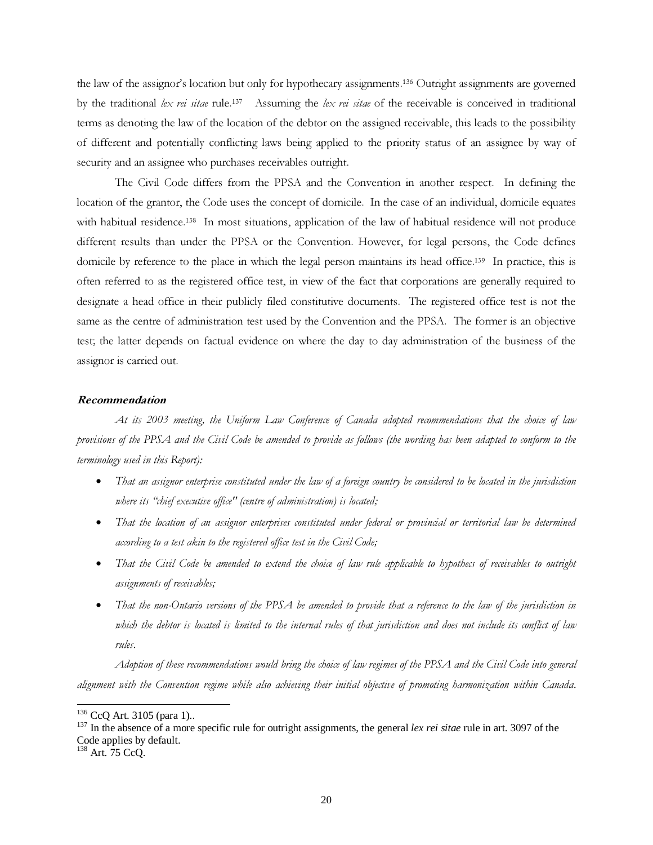the law of the assignor's location but only for hypothecary assignments.<sup>136</sup> Outright assignments are governed by the traditional lex rei sitae rule.<sup>137</sup> Assuming the lex rei sitae of the receivable is conceived in traditional terms as denoting the law of the location of the debtor on the assigned receivable, this leads to the possibility of different and potentially conflicting laws being applied to the priority status of an assignee by way of security and an assignee who purchases receivables outright.

The Civil Code differs from the PPSA and the Convention in another respect. In defining the location of the grantor, the Code uses the concept of domicile. In the case of an individual, domicile equates with habitual residence.<sup>138</sup> In most situations, application of the law of habitual residence will not produce different results than under the PPSA or the Convention. However, for legal persons, the Code defines domicile by reference to the place in which the legal person maintains its head office.<sup>139</sup> In practice, this is often referred to as the registered office test, in view of the fact that corporations are generally required to designate a head office in their publicly filed constitutive documents. The registered office test is not the same as the centre of administration test used by the Convention and the PPSA. The former is an objective test; the latter depends on factual evidence on where the day to day administration of the business of the assignor is carried out.

#### Recommendation

At its 2003 meeting, the Uniform Law Conference of Canada adopted recommendations that the choice of law provisions of the PPSA and the Civil Code be amended to provide as follows (the wording has been adapted to conform to the terminology used in this Report):

- That an assignor enterprise constituted under the law of a foreign country be considered to be located in the jurisdiction where its "chief executive office" (centre of administration) is located;
- That the location of an assignor enterprises constituted under federal or provincial or territorial law be determined according to a test akin to the registered office test in the Civil Code;
- That the Civil Code be amended to extend the choice of law rule applicable to hypothecs of receivables to outright assignments of receivables;
- That the non-Ontario versions of the PPSA be amended to provide that a reference to the law of the jurisdiction in which the debtor is located is limited to the internal rules of that jurisdiction and does not include its conflict of law rules.

Adoption of these recommendations would bring the choice of law regimes of the PPSA and the Civil Code into general alignment with the Convention regime while also achieving their initial objective of promoting harmonization within Canada.

<sup>&</sup>lt;sup>136</sup> CcQ Art. 3105 (para 1)..

<sup>137</sup> In the absence of a more specific rule for outright assignments, the general *lex rei sitae* rule in art. 3097 of the Code applies by default.

<sup>138</sup> Art. 75 CcQ.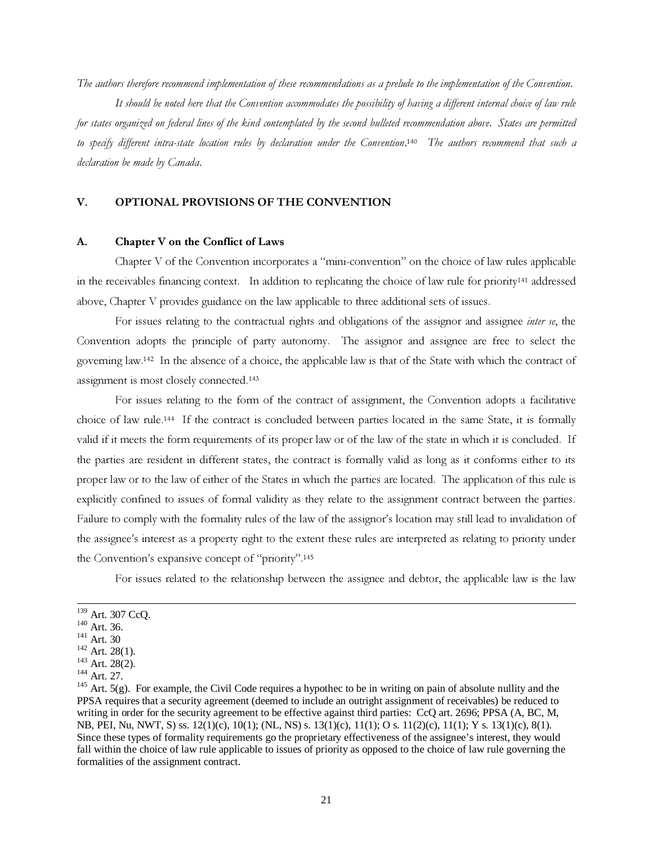The authors therefore recommend implementation of these recommendations as a prelude to the implementation of the Convention.

It should be noted here that the Convention accommodates the possibilityof having a different internal choice of law rule for states organized on federal lines of the kind contemplated by the second bulleted recommendation above. States are permitted to specify different intra-state location rules by declaration under the Convention.<sup>140</sup> The authors recommend that such a declaration be made by Canada.

### V. OPTIONAL PROVISIONS OF THE CONVENTION

### A. Chapter V on the Conflict of Laws

Chapter V of the Convention incorporates a "mini-convention" on the choice of law rules applicable in the receivables financing context. In addition to replicating the choice of law rule for priority<sup>141</sup> addressed above, Chapter V provides guidance on the law applicable to three additional sets of issues.

For issues relating to the contractual rights and obligations of the assignor and assignee *inter se*, the Convention adopts the principle of party autonomy. The assignor and assignee are free to select the governing law.<sup>142</sup> In the absence of a choice, the applicable law is that of the State with which the contract of assignment is most closely connected.<sup>143</sup>

For issues relating to the form of the contract of assignment, the Convention adopts a facilitative choice of law rule.<sup>144</sup> If the contract is concluded between parties located in the same State, it is formally valid if it meets the form requirements of its proper law or of the law of the state in which it is concluded. If the parties are resident in different states, the contract is formally valid as long as it conforms either to its proper law or to the law of either of the States in which the parties are located. The application of this rule is explicitly confined to issues of formal validity as they relate to the assignment contract between the parties. Failure to comply with the formality rules of the law of the assignor's location may still lead to invalidation of the assignee's interest as a property right to the extent these rules are interpreted as relating to priority under the Convention's expansive concept of "priority".<sup>145</sup>

For issues related to the relationship between the assignee and debtor, the applicable law is the law

<sup>139</sup> Art. 307 CcQ.

 $140$  Art. 36.

<sup>&</sup>lt;sup>141</sup> Art. 30

 $142$  Art. 28(1).

 $143$  Art. 28(2).

<sup>144</sup> Art. 27.

 $145$  Art. 5(g). For example, the Civil Code requires a hypothec to be in writing on pain of absolute nullity and the PPSA requires that a security agreement (deemed to include an outright assignment of receivables) be reduced to writing in order for the security agreement to be effective against third parties: CcQ art. 2696; PPSA (A, BC, M, NB, PEI, Nu, NWT, S) ss. 12(1)(c), 10(1); (NL, NS) s. 13(1)(c), 11(1); O s. 11(2)(c), 11(1); Y s. 13(1)(c), 8(1). Since these types of formality requirements go the proprietary effectiveness of the assignee's interest, they would fall within the choice of law rule applicable to issues of priority as opposed to the choice of law rule governing the formalities of the assignment contract.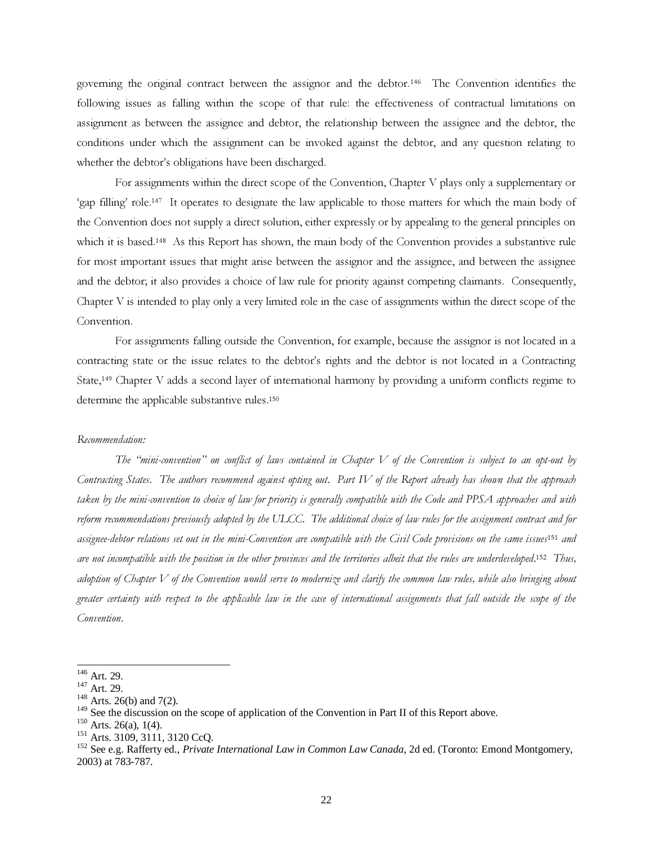governing the original contract between the assignor and the debtor.<sup>146</sup> The Convention identifies the following issues as falling within the scope of that rule: the effectiveness of contractual limitations on assignment as between the assignee and debtor, the relationship between the assignee and the debtor, the conditions under which the assignment can be invoked against the debtor, and any question relating to whether the debtor's obligations have been discharged.

For assignments within the direct scope of the Convention, Chapter V plays only a supplementary or 'gap filling' role.<sup>147</sup> It operates to designate the law applicable to those matters for which the main body of the Convention does not supply a direct solution, either expressly or by appealing to the general principles on which it is based.<sup>148</sup> As this Report has shown, the main body of the Convention provides a substantive rule for most important issues that might arise between the assignor and the assignee, and between the assignee and the debtor; it also provides a choice of law rule for priority against competing claimants. Consequently, Chapter V is intended to play only a very limited role in the case of assignments within the direct scope of the Convention.

For assignments falling outside the Convention, for example, because the assignor is not located in a contracting state or the issue relates to the debtor's rights and the debtor is not located in a Contracting State,<sup>149</sup> Chapter V adds a second layer of international harmony by providing a uniform conflicts regime to determine the applicable substantive rules.<sup>150</sup>

#### Recommendation:

The "mini-convention" on conflict of laws contained in Chapter  $V$  of the Convention is subject to an opt-out by Contracting States. The authors recommend against opting out. Part IV of the Report already has shown that the approach taken by the mini-convention to choice of law for priority is generally compatible with the Code and PPSA approaches and with reform recommendations previously adopted by the ULCC. The additional choice of law rules for the assignment contract and for assignee-debtor relations set out in the mini-Convention are compatible with the Civil Code provisions on the same issues<sup>151</sup> and are not incompatible with the position in the other provinces and the territories albeit that the rules are underdeveloped.<sup>152</sup> Thus, adoption of Chapter V of the Convention would serve to modernize and clarify the common law rules, while also bringing about greater certainty with respect to the applicable law in the case of international assignments that fall outside the scope of the Convention.

<sup>146</sup> Art. 29.

 $147$  Art. 29.

 $148$  Arts. 26(b) and 7(2).

<sup>&</sup>lt;sup>149</sup> See the discussion on the scope of application of the Convention in Part II of this Report above.

 $150$  Arts. 26(a), 1(4).

<sup>151</sup> Arts. 3109, 3111, 3120 CcQ.

<sup>152</sup> See e.g. Rafferty ed., *Private International Law in Common Law Canada*, 2d ed. (Toronto: Emond Montgomery, 2003) at 783-787.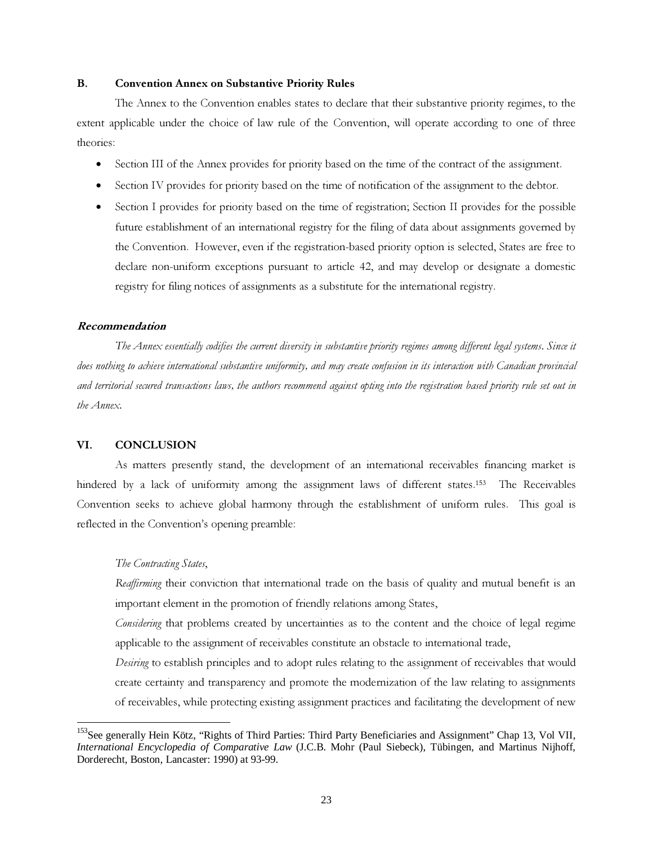### B. Convention Annex on Substantive Priority Rules

The Annex to the Convention enables states to declare that their substantive priority regimes, to the extent applicable under the choice of law rule of the Convention, will operate according to one of three theories:

- Section III of the Annex provides for priority based on the time of the contract of the assignment.
- Section IV provides for priority based on the time of notification of the assignment to the debtor.
- Section I provides for priority based on the time of registration; Section II provides for the possible future establishment of an international registry for the filing of data about assignments governed by the Convention. However, even if the registration-based priority option is selected, States are free to declare non-uniform exceptions pursuant to article 42, and may develop or designate a domestic registry for filing notices of assignments as a substitute for the international registry.

#### Recommendation

The Annex essentially codifies the current diversity in substantive priority regimes among different legal systems. Since it does nothing to achieve international substantive uniformity, and maycreate confusion in its interaction with Canadian provincial and territorial secured transactions laws, the authors recommend against opting into the registration based priorityrule set out in the Annex.

#### VI. CONCLUSION

As matters presently stand, the development of an international receivables financing market is hindered by a lack of uniformity among the assignment laws of different states.<sup>153</sup> The Receivables Convention seeks to achieve global harmony through the establishment of uniform rules. This goal is reflected in the Convention's opening preamble:

### The Contracting States,

Reaffirming their conviction that international trade on the basis of quality and mutual benefit is an important element in the promotion of friendly relations among States,

Considering that problems created by uncertainties as to the content and the choice of legal regime applicable to the assignment of receivables constitute an obstacle to international trade,

Desiring to establish principles and to adopt rules relating to the assignment of receivables that would create certainty and transparency and promote the modernization of the law relating to assignments of receivables, while protecting existing assignment practices and facilitating the development of new

<sup>&</sup>lt;sup>153</sup>See generally Hein Kötz, "Rights of Third Parties: Third Party Beneficiaries and Assignment" Chap 13, Vol VII, *International Encyclopedia of Comparative Law* (J.C.B. Mohr (Paul Siebeck), Tübingen, and Martinus Nijhoff, Dorderecht, Boston, Lancaster: 1990) at 93-99.